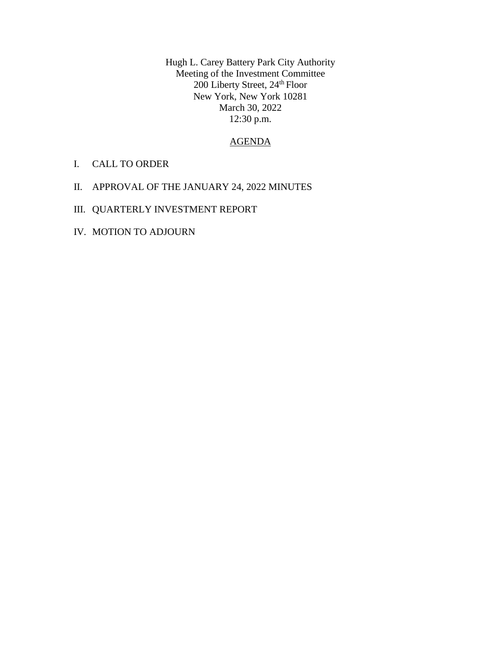Hugh L. Carey Battery Park City Authority Meeting of the Investment Committee 200 Liberty Street, 24<sup>th</sup> Floor New York, New York 10281 March 30, 2022 12:30 p.m.

### AGENDA

- I. CALL TO ORDER
- II. APPROVAL OF THE JANUARY 24, 2022 MINUTES
- III. QUARTERLY INVESTMENT REPORT
- IV. MOTION TO ADJOURN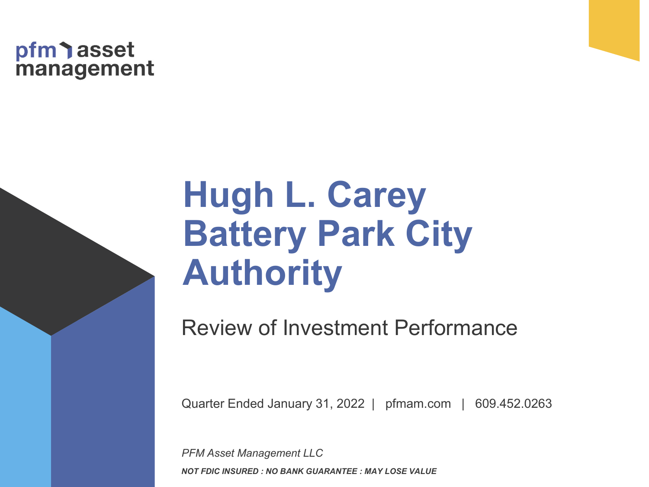# pfm asset<br>management

# **Hugh L. Carey Battery Park City Authority**

Review of Investment Performance

Quarter Ended January 31, 2022 | pfmam.com | 609.452.0263

*PFM Asset Management LLC NOT FDIC INSURED : NO BANK GUARANTEE : MAY LOSE VALUE*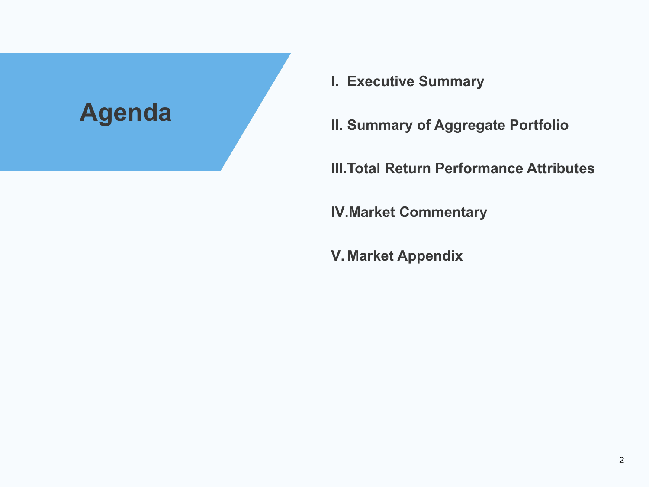

- **I. Executive Summary**
- **II. Summary of Aggregate Portfolio**

**III.Total Return Performance Attributes**

**IV.Market Commentary**

**V. Market Appendix**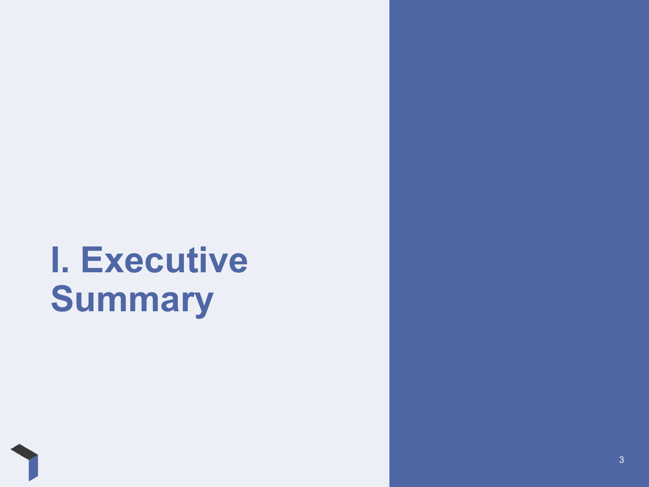# **I. Executive Summary**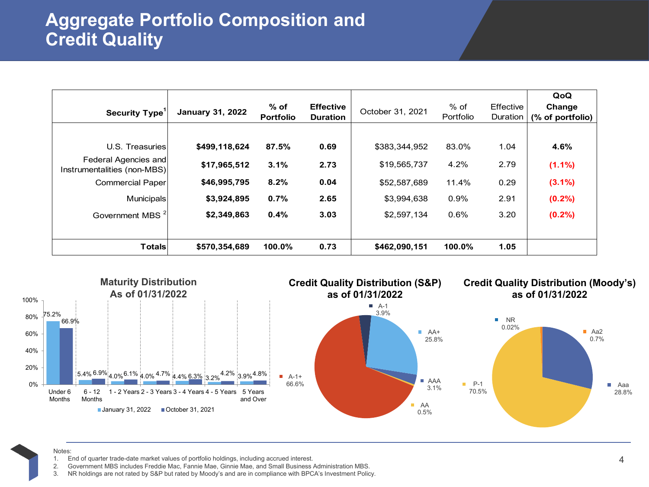# **Aggregate Portfolio Composition and Credit Quality**

| Security Type <sup>1</sup>                          | <b>January 31, 2022</b> | $%$ of<br><b>Portfolio</b> | <b>Effective</b><br><b>Duration</b> | October 31, 2021 | $%$ of<br>Portfolio | Effective<br>Duration | QoQ<br>Change<br>(% of portfolio) |
|-----------------------------------------------------|-------------------------|----------------------------|-------------------------------------|------------------|---------------------|-----------------------|-----------------------------------|
| U.S. Treasuries                                     | \$499,118,624           | 87.5%                      | 0.69                                | \$383,344,952    | 83.0%               | 1.04                  | 4.6%                              |
| Federal Agencies and<br>Instrumentalities (non-MBS) | \$17,965,512            | 3.1%                       | 2.73                                | \$19,565,737     | 4.2%                | 2.79                  | $(1.1\%)$                         |
| <b>Commercial Paper</b>                             | \$46,995,795            | 8.2%                       | 0.04                                | \$52,587,689     | 11.4%               | 0.29                  | $(3.1\%)$                         |
| Municipals                                          | \$3,924,895             | 0.7%                       | 2.65                                | \$3,994,638      | 0.9%                | 2.91                  | (0.2%)                            |
| Government MBS <sup>2</sup>                         | \$2,349,863             | 0.4%                       | 3.03                                | \$2,597,134      | 0.6%                | 3.20                  | (0.2%)                            |
|                                                     |                         |                            |                                     |                  |                     |                       |                                   |
| <b>Totals</b>                                       | \$570,354,689           | 100.0%                     | 0.73                                | \$462,090,151    | 100.0%              | 1.05                  |                                   |



#### Notes:

- 1. End of quarter trade-date market values of portfolio holdings, including accrued interest.
- 2. Government MBS includes Freddie Mac, Fannie Mae, Ginnie Mae, and Small Business Administration MBS.
- 3. NR holdings are not rated by S&P but rated by Moody's and are in compliance with BPCA's Investment Policy.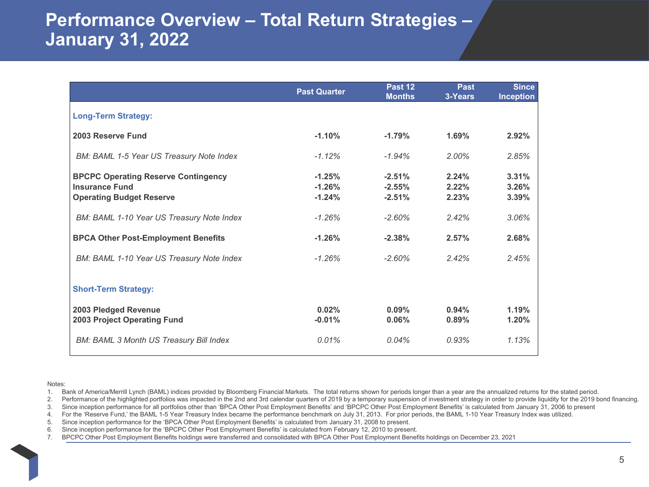## **Performance Overview – Total Return Strategies – January 31, 2022**

|                                                                                                        | <b>Past Quarter</b>              | Past 12<br><b>Months</b>         | <b>Past</b><br>3-Years  | <b>Since</b><br><b>Inception</b> |
|--------------------------------------------------------------------------------------------------------|----------------------------------|----------------------------------|-------------------------|----------------------------------|
| <b>Long-Term Strategy:</b>                                                                             |                                  |                                  |                         |                                  |
| 2003 Reserve Fund                                                                                      | $-1.10%$                         | $-1.79%$                         | 1.69%                   | 2.92%                            |
| BM: BAML 1-5 Year US Treasury Note Index                                                               | $-1.12%$                         | $-1.94%$                         | $2.00\%$                | 2.85%                            |
| <b>BPCPC Operating Reserve Contingency</b><br><b>Insurance Fund</b><br><b>Operating Budget Reserve</b> | $-1.25%$<br>$-1.26%$<br>$-1.24%$ | $-2.51%$<br>$-2.55%$<br>$-2.51%$ | 2.24%<br>2.22%<br>2.23% | 3.31%<br>3.26%<br>3.39%          |
| BM: BAML 1-10 Year US Treasury Note Index                                                              | $-1.26%$                         | $-2.60%$                         | 2.42%                   | 3.06%                            |
| <b>BPCA Other Post-Employment Benefits</b>                                                             | $-1.26%$                         | $-2.38%$                         | 2.57%                   | 2.68%                            |
| BM: BAML 1-10 Year US Treasury Note Index                                                              | $-1.26\%$                        | $-2.60%$                         | 2.42%                   | 2.45%                            |
| <b>Short-Term Strategy:</b>                                                                            |                                  |                                  |                         |                                  |
| 2003 Pledged Revenue<br>2003 Project Operating Fund                                                    | 0.02%<br>$-0.01%$                | $0.09\%$<br>0.06%                | 0.94%<br>0.89%          | 1.19%<br>1.20%                   |
| <b>BM: BAML 3 Month US Treasury Bill Index</b>                                                         | 0.01%                            | 0.04%                            | 0.93%                   | 1.13%                            |

#### Notes:

1. Bank of America/Merrill Lynch (BAML) indices provided by Bloomberg Financial Markets. The total returns shown for periods longer than a year are the annualized returns for the stated period.

2. Performance of the highlighted portfolios was impacted in the 2nd and 3rd calendar quarters of 2019 by a temporary suspension of investment strategy in order to provide liquidity for the 2019 bond financing.

3. Since inception performance for all portfolios other than 'BPCA Other Post Employment Benefits' and 'BPCPC Other Post Employment Benefits' is calculated from January 31, 2006 to present

4. For the 'Reserve Fund,' the BAML 1-5 Year Treasury Index became the performance benchmark on July 31, 2013. For prior periods, the BAML 1-10 Year Treasury Index was utilized.

5. Since inception performance for the 'BPCA Other Post Employment Benefits' is calculated from January 31, 2008 to present.

6. Since inception performance for the 'BPCPC Other Post Employment Benefits' is calculated from February 12, 2010 to present.

7. BPCPC Other Post Employment Benefits holdings were transferred and consolidated with BPCA Other Post Employment Benefits holdings on December 23, 2021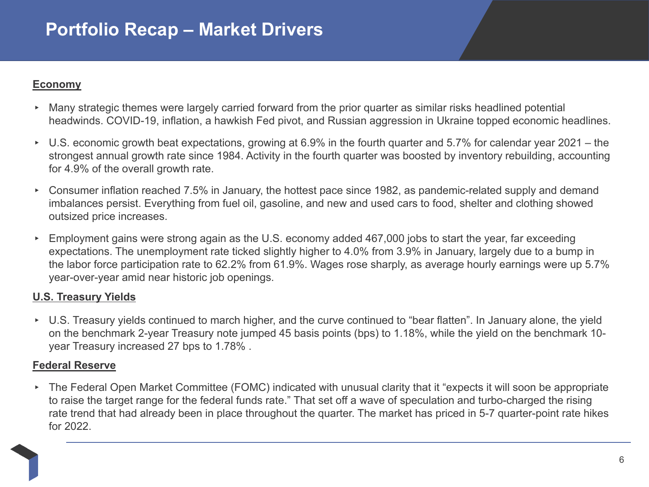### **Economy**

- ▸ Many strategic themes were largely carried forward from the prior quarter as similar risks headlined potential headwinds. COVID-19, inflation, a hawkish Fed pivot, and Russian aggression in Ukraine topped economic headlines.
- ▸ U.S. economic growth beat expectations, growing at 6.9% in the fourth quarter and 5.7% for calendar year 2021 – the strongest annual growth rate since 1984. Activity in the fourth quarter was boosted by inventory rebuilding, accounting for 4.9% of the overall growth rate.
- ▸ Consumer inflation reached 7.5% in January, the hottest pace since 1982, as pandemic-related supply and demand imbalances persist. Everything from fuel oil, gasoline, and new and used cars to food, shelter and clothing showed outsized price increases.
- ▸ Employment gains were strong again as the U.S. economy added 467,000 jobs to start the year, far exceeding expectations. The unemployment rate ticked slightly higher to 4.0% from 3.9% in January, largely due to a bump in the labor force participation rate to 62.2% from 61.9%. Wages rose sharply, as average hourly earnings were up 5.7% year-over-year amid near historic job openings.

### **U.S. Treasury Yields**

▸ U.S. Treasury yields continued to march higher, and the curve continued to "bear flatten". In January alone, the yield on the benchmark 2-year Treasury note jumped 45 basis points (bps) to 1.18%, while the yield on the benchmark 10 year Treasury increased 27 bps to 1.78% .

### **Federal Reserve**

▸ The Federal Open Market Committee (FOMC) indicated with unusual clarity that it "expects it will soon be appropriate to raise the target range for the federal funds rate." That set off a wave of speculation and turbo-charged the rising rate trend that had already been in place throughout the quarter. The market has priced in 5-7 quarter-point rate hikes for 2022.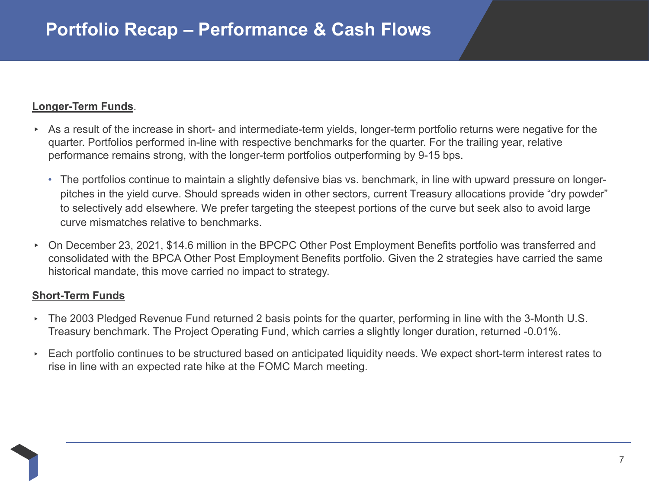### **Longer-Term Funds**.

- ▸ As a result of the increase in short- and intermediate-term yields, longer-term portfolio returns were negative for the quarter. Portfolios performed in-line with respective benchmarks for the quarter. For the trailing year, relative performance remains strong, with the longer-term portfolios outperforming by 9-15 bps.
	- The portfolios continue to maintain a slightly defensive bias vs. benchmark, in line with upward pressure on longerpitches in the yield curve. Should spreads widen in other sectors, current Treasury allocations provide "dry powder" to selectively add elsewhere. We prefer targeting the steepest portions of the curve but seek also to avoid large curve mismatches relative to benchmarks.
- ▸ On December 23, 2021, \$14.6 million in the BPCPC Other Post Employment Benefits portfolio was transferred and consolidated with the BPCA Other Post Employment Benefits portfolio. Given the 2 strategies have carried the same historical mandate, this move carried no impact to strategy.

### **Short-Term Funds**

- ▸ The 2003 Pledged Revenue Fund returned 2 basis points for the quarter, performing in line with the 3-Month U.S. Treasury benchmark. The Project Operating Fund, which carries a slightly longer duration, returned -0.01%.
- ▸ Each portfolio continues to be structured based on anticipated liquidity needs. We expect short-term interest rates to rise in line with an expected rate hike at the FOMC March meeting.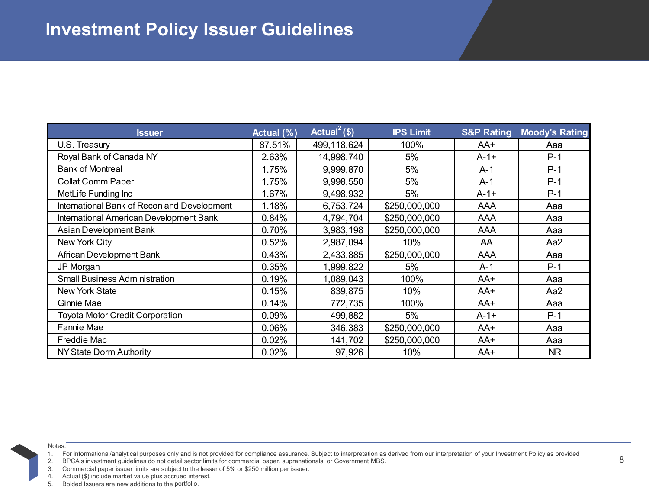| <b>Issuer</b>                               | Actual (%) | Actual <sup>2</sup> (\$) | <b>IPS Limit</b> | <b>S&amp;P Rating</b> | <b>Moody's Rating</b> |
|---------------------------------------------|------------|--------------------------|------------------|-----------------------|-----------------------|
| U.S. Treasury                               | 87.51%     | 499,118,624              | 100%             | AA+                   | Aaa                   |
| Royal Bank of Canada NY                     | 2.63%      | 14,998,740               | 5%               | $A-1+$                | $P-1$                 |
| <b>Bank of Montreal</b>                     | 1.75%      | 9,999,870                | 5%               | A-1                   | $P-1$                 |
| <b>Collat Comm Paper</b>                    | 1.75%      | 9,998,550                | 5%               | A-1                   | $P-1$                 |
| MetLife Funding Inc                         | 1.67%      | 9,498,932                | 5%               | A-1+                  | $P-1$                 |
| International Bank of Recon and Development | 1.18%      | 6,753,724                | \$250,000,000    | AAA                   | Aaa                   |
| International American Development Bank     | 0.84%      | 4,794,704                | \$250,000,000    | AAA                   | Aaa                   |
| Asian Development Bank                      | 0.70%      | 3,983,198                | \$250,000,000    | AAA                   | Aaa                   |
| New York City                               | 0.52%      | 2,987,094                | 10%              | AA                    | Aa2                   |
| African Development Bank                    | 0.43%      | 2,433,885                | \$250,000,000    | AAA                   | Aaa                   |
| JP Morgan                                   | 0.35%      | 1,999,822                | 5%               | $A-1$                 | $P-1$                 |
| <b>Small Business Administration</b>        | 0.19%      | 1,089,043                | 100%             | AA+                   | Aaa                   |
| <b>New York State</b>                       | 0.15%      | 839,875                  | 10%              | AA+                   | Aa2                   |
| Ginnie Mae                                  | 0.14%      | 772,735                  | 100%             | AA+                   | Aaa                   |
| Toyota Motor Credit Corporation             | 0.09%      | 499,882                  | 5%               | $A - 1 +$             | $P-1$                 |
| Fannie Mae                                  | 0.06%      | 346,383                  | \$250,000,000    | AA+                   | Aaa                   |
| Freddie Mac                                 | 0.02%      | 141,702                  | \$250,000,000    | AA+                   | Aaa                   |
| NY State Dorm Authority                     | 0.02%      | 97,926                   | 10%              | AA+                   | NR                    |

1. For informational/analytical purposes only and is not provided for compliance assurance. Subject to interpretation as derived from our interpretation of your Investment Policy as provided<br>2. BPCA's investment guidelines

2. BPCA's investment guidelines do not detail sector limits for commercial paper, supranationals, or Government MBS.

Commercial paper issuer limits are subject to the lesser of 5% or \$250 million per issuer.

4. Actual (\$) include market value plus accrued interest.

5. Bolded Issuers are new additions to the portfolio.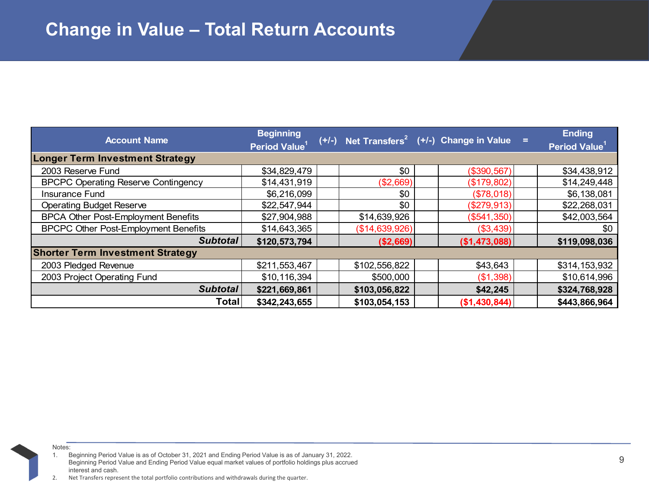| <b>Account Name</b>                         | <b>Beginning</b>          |                | $(+/-)$ Net Transfers <sup>2</sup> ( $+/-$ ) Change in Value = | <b>Ending</b>       |
|---------------------------------------------|---------------------------|----------------|----------------------------------------------------------------|---------------------|
|                                             | Period Value <sup>1</sup> |                |                                                                | <b>Period Value</b> |
| <b>Longer Term Investment Strategy</b>      |                           |                |                                                                |                     |
| 2003 Reserve Fund                           | \$34,829,479              | \$0            | (\$390,567)                                                    | \$34,438,912        |
| <b>BPCPC Operating Reserve Contingency</b>  | \$14,431,919              | (\$2,669)      | (\$179,802)                                                    | \$14,249,448        |
| Insurance Fund                              | \$6,216,099               | \$0            | (\$78,018)                                                     | \$6,138,081         |
| <b>Operating Budget Reserve</b>             | \$22,547,944              | \$0            | (\$279,913)                                                    | \$22,268,031        |
| <b>BPCA Other Post-Employment Benefits</b>  | \$27,904,988              | \$14,639,926   | $($ \$541,350) $ $                                             | \$42,003,564        |
| <b>BPCPC Other Post-Employment Benefits</b> | \$14,643,365              | (\$14,639,926) | (\$3,439)                                                      | \$0                 |
| Subtotal                                    | \$120,573,794             | ( \$2,669)     | (\$1,473,088)                                                  | \$119,098,036       |
| <b>Shorter Term Investment Strategy</b>     |                           |                |                                                                |                     |
| 2003 Pledged Revenue                        | \$211,553,467             | \$102,556,822  | \$43,643                                                       | \$314,153,932       |
| 2003 Project Operating Fund                 | \$10,116,394              | \$500,000      | (\$1,398)                                                      | \$10,614,996        |
| Subtotal                                    | \$221,669,861             | \$103,056,822  | \$42,245                                                       | \$324,768,928       |
| Totall                                      | \$342,243,655             | \$103,054,153  | (\$1,430,844)                                                  | \$443,866,964       |

1. Beginning Period Value is as of October 31, 2021 and Ending Period Value is as of January 31, 2022. Beginning Period Value and Ending Period Value equal market values of portfolio holdings plus accrued interest and cash.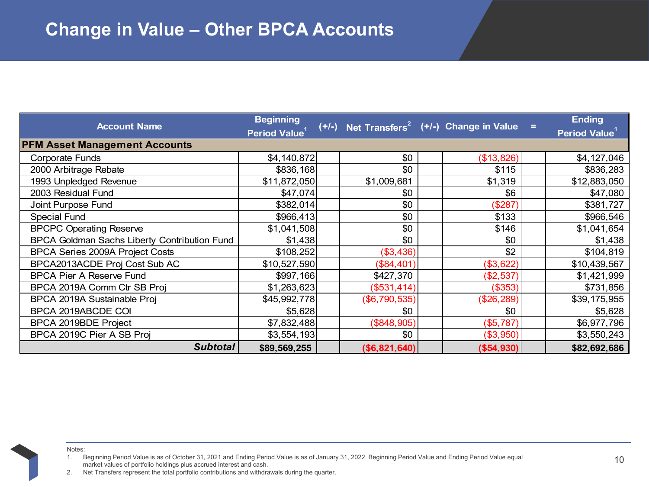|                                              | <b>Beginning</b>          |                | $(+/-)$ Net Transfers <sup>2</sup> (+/-) Change in Value = |              | <b>Ending</b>             |
|----------------------------------------------|---------------------------|----------------|------------------------------------------------------------|--------------|---------------------------|
| <b>Account Name</b>                          | Period Value <sup>1</sup> |                |                                                            |              | Period Value <sup>1</sup> |
| <b>PFM Asset Management Accounts</b>         |                           |                |                                                            |              |                           |
| <b>Corporate Funds</b>                       | \$4,140,872               | \$0            |                                                            | (\$13,826)   | \$4,127,046               |
| 2000 Arbitrage Rebate                        | \$836,168                 | \$0            |                                                            | \$115        | \$836,283                 |
| 1993 Unpledged Revenue                       | \$11,872,050              | \$1,009,681    |                                                            | \$1,319      | \$12,883,050              |
| 2003 Residual Fund                           | \$47,074                  | \$0            |                                                            | \$6          | \$47,080                  |
| Joint Purpose Fund                           | \$382,014                 | \$0            |                                                            | (\$287)      | \$381,727                 |
| <b>Special Fund</b>                          | \$966,413                 | \$0            |                                                            | \$133        | \$966,546                 |
| <b>BPCPC Operating Reserve</b>               | \$1,041,508               | \$0            |                                                            | \$146        | \$1,041,654               |
| BPCA Goldman Sachs Liberty Contribution Fund | \$1,438                   | \$0            |                                                            | \$0          | \$1,438                   |
| BPCA Series 2009A Project Costs              | \$108,252                 | (\$3,436)      |                                                            | \$2          | \$104,819                 |
| BPCA2013ACDE Proj Cost Sub AC                | \$10,527,590              | (\$84,401)     |                                                            | (\$3,622)    | \$10,439,567              |
| <b>BPCA Pier A Reserve Fund</b>              | \$997,166                 | \$427,370      |                                                            | (\$2,537)    | \$1,421,999               |
| BPCA 2019A Comm Ctr SB Proj                  | \$1,263,623               | ( \$531, 414)  |                                                            | (\$353)      | \$731,856                 |
| BPCA 2019A Sustainable Proj                  | \$45,992,778              | (\$6,790,535)  |                                                            | (\$26,289)   | \$39,175,955              |
| BPCA 2019ABCDE COI                           | \$5,628                   | \$0            |                                                            | \$0          | \$5,628                   |
| BPCA 2019BDE Project                         | \$7,832,488               | (\$848,905)    |                                                            | (\$5,787)    | \$6,977,796               |
| BPCA 2019C Pier A SB Proj                    | \$3,554,193               | \$0            |                                                            | (\$3,950)    | \$3,550,243               |
| <b>Subtotal</b>                              | \$89,569,255              | ( \$6,821,640] |                                                            | ( \$54, 930) | \$82,692,686              |

1. Beginning Period Value is as of October 31, 2021 and Ending Period Value is as of January 31, 2022. Beginning Period Value and Ending Period Value equal market values of portfolio holdings plus accrued interest and cash.

<sup>2.</sup> Net Transfers represent the total portfolio contributions and withdrawals during the quarter.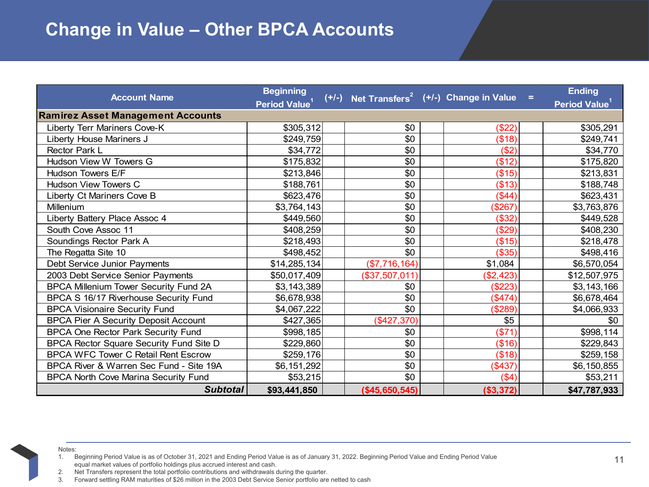# **Change in Value – Other BPCA Accounts**

| <b>Account Name</b>                          | <b>Beginning</b><br>Period Value <sup>1</sup> |                | $(+/-)$ Net Transfers <sup>2</sup> ( $+/-$ ) Change in Value = | <b>Ending</b><br>Period Value <sup>1</sup> |
|----------------------------------------------|-----------------------------------------------|----------------|----------------------------------------------------------------|--------------------------------------------|
| <b>Ramirez Asset Management Accounts</b>     |                                               |                |                                                                |                                            |
| Liberty Terr Mariners Cove-K                 | \$305,312                                     | \$0            | (\$22)                                                         | \$305,291                                  |
| Liberty House Mariners J                     | \$249,759                                     | \$0            | (\$18)                                                         | \$249,741                                  |
| Rector Park L                                | \$34,772                                      | \$0            | (\$2)                                                          | \$34,770                                   |
| Hudson View W Towers G                       | \$175,832                                     | \$0            | (\$12)                                                         | \$175,820                                  |
| Hudson Towers E/F                            | \$213,846                                     | \$0            | (\$15)                                                         | \$213,831                                  |
| <b>Hudson View Towers C</b>                  | \$188,761                                     | \$0            | (\$13)                                                         | \$188,748                                  |
| Liberty Ct Mariners Cove B                   | \$623,476                                     | \$0            | (\$44)                                                         | \$623,431                                  |
| Millenium                                    | \$3,764,143                                   | \$0            | (\$267)                                                        | \$3,763,876                                |
| Liberty Battery Place Assoc 4                | \$449,560                                     | \$0            | (\$32)                                                         | \$449,528                                  |
| South Cove Assoc 11                          | \$408,259                                     | \$0            | (\$29)                                                         | \$408,230                                  |
| Soundings Rector Park A                      | \$218,493                                     | \$0            | (\$15)                                                         | \$218,478                                  |
| The Regatta Site 10                          | \$498,452                                     | \$0            | (\$35)                                                         | \$498,416                                  |
| Debt Service Junior Payments                 | \$14,285,134                                  | (\$7,716,164)  | \$1,084                                                        | \$6,570,054                                |
| 2003 Debt Service Senior Payments            | \$50,017,409                                  | (\$37,507,011) | (\$2,423)                                                      | \$12,507,975                               |
| <b>BPCA Millenium Tower Security Fund 2A</b> | \$3,143,389                                   | \$0            | (\$223)                                                        | \$3,143,166                                |
| BPCA S 16/17 Riverhouse Security Fund        | \$6,678,938                                   | \$0            | (\$474)                                                        | \$6,678,464                                |
| <b>BPCA Visionaire Security Fund</b>         | \$4,067,222                                   | \$0            | (\$289)                                                        | \$4,066,933                                |
| <b>BPCA Pier A Security Deposit Account</b>  | \$427,365                                     | (\$427,370)    | \$5                                                            | \$0                                        |
| <b>BPCA One Rector Park Security Fund</b>    | \$998,185                                     | \$0            | (\$71)                                                         | \$998,114                                  |
| BPCA Rector Square Security Fund Site D      | \$229,860                                     | \$0            | (\$16)                                                         | \$229,843                                  |
| <b>BPCA WFC Tower C Retail Rent Escrow</b>   | \$259,176                                     | \$0            | (\$18)                                                         | \$259,158                                  |
| BPCA River & Warren Sec Fund - Site 19A      | \$6,151,292                                   | \$0            | (\$437)                                                        | \$6,150,855                                |
| <b>BPCA North Cove Marina Security Fund</b>  | \$53,215                                      | \$0            | (\$4)                                                          | \$53,211                                   |
| <b>Subtotal</b>                              | \$93,441,850                                  | (\$45,650,545) | (\$3,372)                                                      | \$47,787,933                               |

Notes:

2. Net Transfers represent the total portfolio contributions and withdrawals during the quarter.

3. Forward settling RAM maturities of \$26 million in the 2003 Debt Service Senior portfolio are netted to cash

1. Beginning Period Value is as of October 31, 2021 and Ending Period Value is as of January 31, 2022. Beginning Period Value and Ending Period Value equal market values of portfolio holdings plus accrued interest and cash.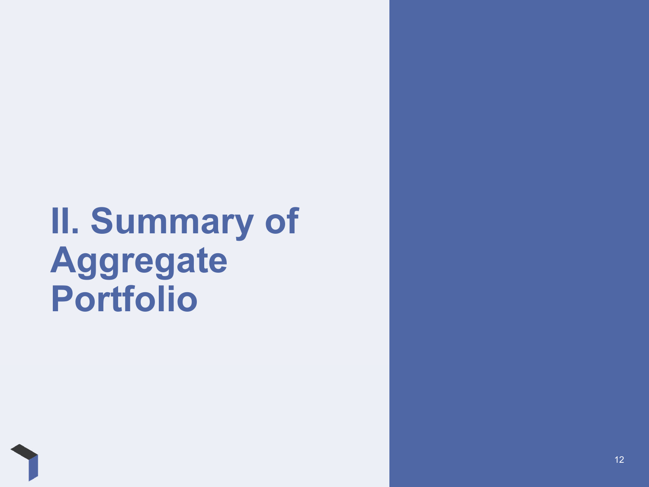# **II. Summary of Aggregate Portfolio**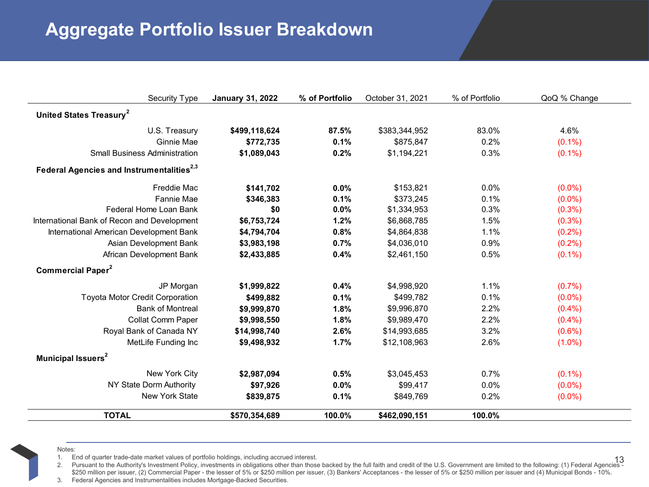# **Aggregate Portfolio Issuer Breakdown**

| <b>Security Type</b>                                  | <b>January 31, 2022</b> | % of Portfolio | October 31, 2021 | % of Portfolio | QoQ % Change |  |
|-------------------------------------------------------|-------------------------|----------------|------------------|----------------|--------------|--|
| United States Treasury <sup>2</sup>                   |                         |                |                  |                |              |  |
| U.S. Treasury                                         | \$499,118,624           | 87.5%          | \$383,344,952    | 83.0%          | 4.6%         |  |
| Ginnie Mae                                            | \$772,735               | 0.1%           | \$875,847        | 0.2%           | $(0.1\%)$    |  |
| <b>Small Business Administration</b>                  | \$1,089,043             | 0.2%           | \$1,194,221      | 0.3%           | $(0.1\%)$    |  |
| Federal Agencies and Instrumentalities <sup>2,3</sup> |                         |                |                  |                |              |  |
| <b>Freddie Mac</b>                                    | \$141,702               | 0.0%           | \$153,821        | 0.0%           | $(0.0\%)$    |  |
| Fannie Mae                                            | \$346,383               | 0.1%           | \$373.245        | 0.1%           | $(0.0\%)$    |  |
| Federal Home Loan Bank                                | \$0                     | 0.0%           | \$1,334,953      | 0.3%           | (0.3% )      |  |
| International Bank of Recon and Development           | \$6,753,724             | 1.2%           | \$6,868,785      | 1.5%           | (0.3% )      |  |
| International American Development Bank               | \$4,794,704             | 0.8%           | \$4,864,838      | 1.1%           | $(0.2\%)$    |  |
| Asian Development Bank                                | \$3,983,198             | 0.7%           | \$4,036,010      | 0.9%           | (0.2%)       |  |
| African Development Bank                              | \$2,433,885             | 0.4%           | \$2,461,150      | 0.5%           | $(0.1\%)$    |  |
| Commercial Paper <sup>2</sup>                         |                         |                |                  |                |              |  |
| JP Morgan                                             | \$1,999,822             | 0.4%           | \$4,998,920      | 1.1%           | (0.7%        |  |
| <b>Toyota Motor Credit Corporation</b>                | \$499,882               | 0.1%           | \$499,782        | 0.1%           | $(0.0\%)$    |  |
| <b>Bank of Montreal</b>                               | \$9,999,870             | 1.8%           | \$9,996,870      | 2.2%           | (0.4% )      |  |
| Collat Comm Paper                                     | \$9,998,550             | 1.8%           | \$9,989,470      | 2.2%           | (0.4% )      |  |
| Royal Bank of Canada NY                               | \$14,998,740            | 2.6%           | \$14,993,685     | 3.2%           | $(0.6\%)$    |  |
| MetLife Funding Inc                                   | \$9,498,932             | 1.7%           | \$12,108,963     | 2.6%           | $(1.0\%)$    |  |
| Municipal Issuers <sup>2</sup>                        |                         |                |                  |                |              |  |
| New York City                                         | \$2,987,094             | 0.5%           | \$3,045,453      | 0.7%           | $(0.1\%)$    |  |
| NY State Dorm Authority                               | \$97,926                | 0.0%           | \$99,417         | 0.0%           | $(0.0\%)$    |  |
| <b>New York State</b>                                 | \$839,875               | 0.1%           | \$849,769        | 0.2%           | $(0.0\%)$    |  |
| <b>TOTAL</b>                                          | \$570,354,689           | 100.0%         | \$462,090,151    | 100.0%         |              |  |

Notes:

1. End of quarter trade-date market values of portfolio holdings, including accrued interest. 1. End of quarter trade-date market values of portfolio holdings, including accrued interest.

2. Pursuant to the Authority's Investment Policy, investments in obligations other than those backed by the full faith and credit of the U.S. Government are limited to the following: (1) Federal Agencies - 13\$250 million per issuer, (2) Commercial Paper - the lesser of 5% or \$250 million per issuer, (3) Bankers' Acceptances - the lesser of 5% or \$250 million per issuer and (4) Municipal Bonds - 10%.

3. Federal Agencies and Instrumentalities includes Mortgage-Backed Securities.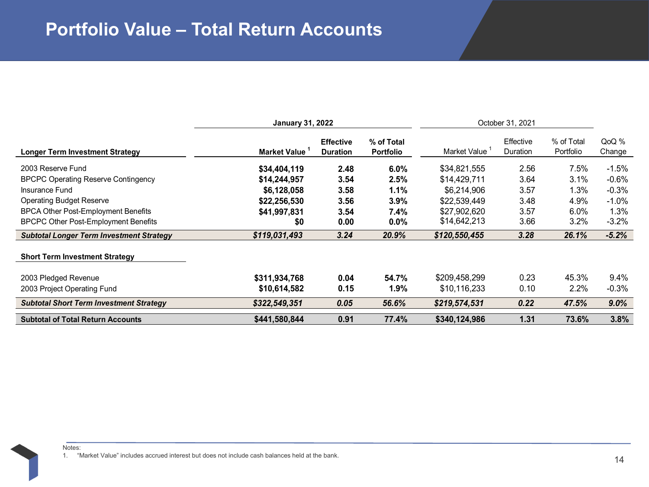|                                                 | <b>January 31, 2022</b> |                                     | October 31, 2021               |               |                       |                         |                 |
|-------------------------------------------------|-------------------------|-------------------------------------|--------------------------------|---------------|-----------------------|-------------------------|-----------------|
| <b>Longer Term Investment Strategy</b>          | <b>Market Value</b>     | <b>Effective</b><br><b>Duration</b> | % of Total<br><b>Portfolio</b> | Market Value  | Effective<br>Duration | % of Total<br>Portfolio | QoQ %<br>Change |
| 2003 Reserve Fund                               | \$34,404,119            | 2.48                                | $6.0\%$                        | \$34,821,555  | 2.56                  | 7.5%                    | $-1.5%$         |
| <b>BPCPC Operating Reserve Contingency</b>      | \$14,244,957            | 3.54                                | 2.5%                           | \$14,429,711  | 3.64                  | 3.1%                    | $-0.6\%$        |
| Insurance Fund                                  | \$6,128,058             | 3.58                                | 1.1%                           | \$6.214.906   | 3.57                  | 1.3%                    | $-0.3%$         |
| <b>Operating Budget Reserve</b>                 | \$22,256,530            | 3.56                                | $3.9\%$                        | \$22,539,449  | 3.48                  | 4.9%                    | $-1.0\%$        |
| BPCA Other Post-Employment Benefits             | \$41,997,831            | 3.54                                | 7.4%                           | \$27,902,620  | 3.57                  | 6.0%                    | 1.3%            |
| <b>BPCPC Other Post-Employment Benefits</b>     | \$0                     | 0.00                                | $0.0\%$                        | \$14,642,213  | 3.66                  | 3.2%                    | $-3.2%$         |
| <b>Subtotal Longer Term Investment Strategy</b> | \$119,031,493           | 3.24                                | 20.9%                          | \$120,550,455 | 3.28                  | 26.1%                   | $-5.2%$         |
| <b>Short Term Investment Strategy</b>           |                         |                                     |                                |               |                       |                         |                 |
| 2003 Pledged Revenue                            | \$311,934,768           | 0.04                                | 54.7%                          | \$209,458,299 | 0.23                  | 45.3%                   | $9.4\%$         |
| 2003 Project Operating Fund                     | \$10,614,582            | 0.15                                | $1.9\%$                        | \$10,116,233  | 0.10                  | $2.2\%$                 | $-0.3%$         |
| <b>Subtotal Short Term Investment Strategy</b>  | \$322,549,351           | 0.05                                | 56.6%                          | \$219,574,531 | 0.22                  | 47.5%                   | 9.0%            |
| <b>Subtotal of Total Return Accounts</b>        | \$441,580,844           | 0.91                                | 77.4%                          | \$340,124,986 | 1.31                  | 73.6%                   | 3.8%            |

1. "Market Value" includes accrued interest but does not include cash balances held at the bank.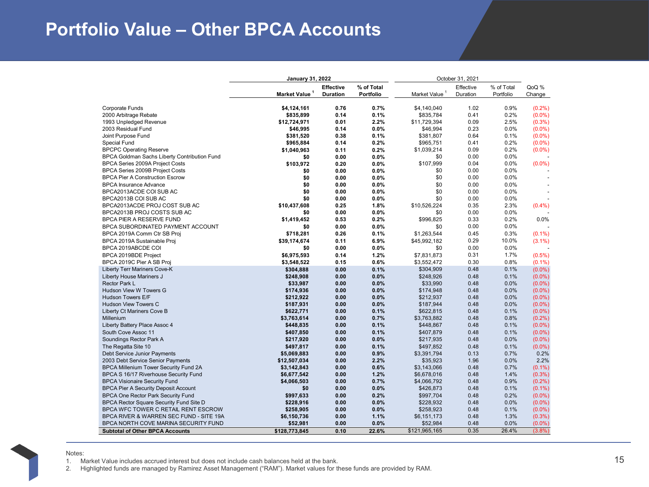### **Portfolio Value – Other BPCA Accounts**

|                                                                                      | January 31, 2022          | October 31, 2021 |              |                           |           |            |                        |
|--------------------------------------------------------------------------------------|---------------------------|------------------|--------------|---------------------------|-----------|------------|------------------------|
|                                                                                      |                           | <b>Effective</b> | % of Total   |                           | Effective | % of Total | QoQ %                  |
|                                                                                      | Market Value <sup>1</sup> | <b>Duration</b>  | Portfolio    | Market Value <sup>1</sup> | Duration  | Portfolio  | Change                 |
|                                                                                      |                           |                  |              |                           |           |            |                        |
| <b>Corporate Funds</b>                                                               | \$4,124,161               | 0.76             | 0.7%         | \$4,140,040               | 1.02      | 0.9%       | (0.2%)                 |
| 2000 Arbitrage Rebate                                                                | \$835,899                 | 0.14             | 0.1%         | \$835,784                 | 0.41      | 0.2%       | $(0.0\%)$              |
| 1993 Unpledged Revenue                                                               | \$12,724,971              | 0.01             | 2.2%         | \$11,729,394              | 0.09      | 2.5%       | (0.3% )                |
| 2003 Residual Fund                                                                   | \$46,995                  | 0.14             | 0.0%         | \$46,994                  | 0.23      | 0.0%       | (0.0%                  |
| Joint Purpose Fund                                                                   | \$381,520                 | 0.38             | 0.1%         | \$381,807                 | 0.64      | 0.1%       | $(0.0\%)$              |
| <b>Special Fund</b>                                                                  | \$965,884                 | 0.14             | 0.2%         | \$965,751                 | 0.41      | 0.2%       | $(0.0\%)$              |
| <b>BPCPC Operating Reserve</b>                                                       | \$1,040,963               | 0.11             | 0.2%         | \$1,039,214               | 0.09      | 0.2%       | $(0.0\%)$              |
| BPCA Goldman Sachs Liberty Contribution Fund                                         | \$0                       | 0.00             | 0.0%         | \$0                       | 0.00      | 0.0%       |                        |
| BPCA Series 2009A Project Costs                                                      | \$103,972                 | 0.20             | 0.0%         | \$107,999                 | 0.04      | 0.0%       | (0.0%                  |
| <b>BPCA Series 2009B Project Costs</b>                                               | \$0                       | 0.00             | 0.0%         | \$0                       | 0.00      | 0.0%       |                        |
| <b>BPCA Pier A Construction Escrow</b>                                               | \$0                       | 0.00             | 0.0%         | \$0                       | 0.00      | 0.0%       |                        |
| <b>BPCA Insurance Advance</b>                                                        | \$0                       | 0.00             | 0.0%         | \$0                       | 0.00      | 0.0%       |                        |
| BPCA2013ACDE COI SUB AC                                                              | \$0                       | 0.00             | 0.0%         | \$0                       | 0.00      | 0.0%       | ä,                     |
| BPCA2013B COI SUB AC                                                                 | \$0                       | 0.00             | 0.0%         | \$0                       | 0.00      | 0.0%       |                        |
| BPCA2013ACDE PROJ COST SUB AC                                                        | \$10,437,608              | 0.25             | 1.8%         | \$10,526,224              | 0.35      | 2.3%       | (0.4% )                |
| BPCA2013B PROJ COSTS SUB AC                                                          | \$0                       | 0.00             | 0.0%         | \$0                       | 0.00      | 0.0%       |                        |
| <b>BPCA PIER A RESERVE FUND</b>                                                      | \$1,419,452               | 0.53             | 0.2%         | \$996.825                 | 0.33      | 0.2%       | 0.0%                   |
| BPCA SUBORDINATED PAYMENT ACCOUNT                                                    | \$0                       | 0.00             | 0.0%         | \$0                       | 0.00      | 0.0%       |                        |
| BPCA 2019A Comm Ctr SB Proj                                                          | \$718,281                 | 0.26             | 0.1%         | \$1,263,544               | 0.45      | 0.3%       | $(0.1\%)$              |
| BPCA 2019A Sustainable Proj                                                          | \$39,174,674              | 0.11             | 6.9%         | \$45,992,182              | 0.29      | 10.0%      | $(3.1\%)$              |
| BPCA 2019ABCDE COI                                                                   | \$0                       | 0.00             | 0.0%         | \$0                       | 0.00      | 0.0%       |                        |
| BPCA 2019BDE Project                                                                 | \$6,975,593               | 0.14             | 1.2%         | \$7,831,873               | 0.31      | 1.7%       | $(0.5\%)$              |
| BPCA 2019C Pier A SB Proj                                                            | \$3,548,522               | 0.15             | 0.6%         | \$3,552,472               | 0.30      | 0.8%       | $(0.1\%)$              |
| <b>Liberty Terr Mariners Cove-K</b>                                                  | \$304,888                 | 0.00             | 0.1%         | \$304,909                 | 0.48      | 0.1%       | $(0.0\%)$              |
| Liberty House Mariners J                                                             | \$248,908                 | 0.00             | 0.0%         | \$248,926                 | 0.48      | 0.1%       | $(0.0\%)$              |
| <b>Rector Park L</b>                                                                 | \$33,987                  | 0.00             | 0.0%         | \$33,990                  | 0.48      | 0.0%       | $(0.0\%)$              |
| Hudson View W Towers G                                                               | \$174,936                 | 0.00             | 0.0%         | \$174,948                 | 0.48      | 0.0%       | $(0.0\%)$              |
| <b>Hudson Towers E/F</b>                                                             | \$212,922                 | 0.00             | 0.0%         | \$212,937                 | 0.48      | 0.0%       | $(0.0\%)$              |
| <b>Hudson View Towers C</b>                                                          | \$187,931                 | 0.00             | 0.0%         | \$187,944                 | 0.48      | 0.0%       | $(0.0\%)$              |
| Liberty Ct Mariners Cove B                                                           | \$622,771                 | 0.00             | 0.1%         | \$622,815                 | 0.48      | 0.1%       | $(0.0\%)$              |
| Millenium                                                                            | \$3,763,614               | 0.00             | 0.7%         | \$3,763,882               | 0.48      | 0.8%       | (0.2%)                 |
| Liberty Battery Place Assoc 4                                                        | \$448,835                 | 0.00             | 0.1%         | \$448,867                 | 0.48      | 0.1%       | $(0.0\%)$              |
| South Cove Assoc 11                                                                  | \$407,850                 | 0.00             | 0.1%         | \$407,879                 | 0.48      | 0.1%       | $(0.0\%)$              |
| Soundings Rector Park A                                                              | \$217,920                 | 0.00             | 0.0%         | \$217,935                 | 0.48      | 0.0%       | $(0.0\%)$              |
| The Regatta Site 10                                                                  | \$497,817                 | 0.00             | 0.1%         | \$497,852                 | 0.48      | 0.1%       | $(0.0\%)$              |
| Debt Service Junior Payments                                                         | \$5,069,883               | 0.00             | 0.9%         | \$3,391,794               | 0.13      | 0.7%       | 0.2%                   |
| 2003 Debt Service Senior Payments                                                    | \$12,507,034              | 0.00             | 2.2%         | \$35,923                  | 1.96      | 0.0%       | 2.2%                   |
| <b>BPCA Millenium Tower Security Fund 2A</b>                                         | \$3,142,843               | 0.00             | 0.6%         | \$3,143,066               | 0.48      | 0.7%       | $(0.1\%)$              |
| BPCA S 16/17 Riverhouse Security Fund                                                | \$6,677,542               | 0.00             | 1.2%         | \$6,678,016               | 0.48      | 1.4%       | (0.3% )                |
| <b>BPCA Visionaire Security Fund</b>                                                 | \$4,066,503               | 0.00             | 0.7%         | \$4,066,792               | 0.48      | 0.9%       | (0.2%)                 |
| <b>BPCA Pier A Security Deposit Account</b>                                          | \$0                       | 0.00             | 0.0%         | \$426,873                 | 0.48      | 0.1%       | $(0.1\%)$              |
|                                                                                      |                           |                  |              |                           | 0.48      | 0.2%       |                        |
| <b>BPCA One Rector Park Security Fund</b><br>BPCA Rector Square Security Fund Site D | \$997,633                 | 0.00<br>0.00     | 0.2%<br>0.0% | \$997,704<br>\$228,932    | 0.48      | 0.0%       | $(0.0\%)$<br>$(0.0\%)$ |
| BPCA WFC TOWER C RETAIL RENT ESCROW                                                  | \$228,916                 |                  | 0.0%         | \$258,923                 | 0.48      | 0.1%       | $(0.0\%)$              |
| BPCA RIVER & WARREN SEC FUND - SITE 19A                                              | \$258,905<br>\$6,150,736  | 0.00<br>0.00     | 1.1%         |                           | 0.48      | 1.3%       |                        |
|                                                                                      |                           |                  |              | \$6,151,173               | 0.48      | 0.0%       | (0.3% )                |
| BPCA NORTH COVE MARINA SECURITY FUND                                                 | \$52,981                  | 0.00             | 0.0%         | \$52,984                  |           |            | $(0.0\%)$              |
| <b>Subtotal of Other BPCA Accounts</b>                                               | \$128,773,845             | 0.10             | 22.6%        | \$121,965,165             | 0.35      | 26.4%      | (3.8%)                 |

Notes:

<sup>1.</sup> Market Value includes accrued interest but does not include cash balances held at the bank.

2. Highlighted funds are managed by Ramirez Asset Management ("RAM"). Market values for these funds are provided by RAM.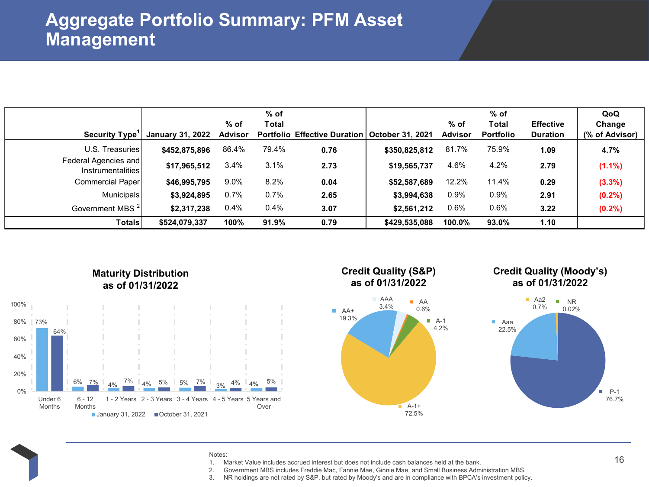|                                           | $%$ of                  |                |              |                                                 | $%$ of        |                |                  |                  | QoQ            |
|-------------------------------------------|-------------------------|----------------|--------------|-------------------------------------------------|---------------|----------------|------------------|------------------|----------------|
|                                           |                         | $%$ of         | <b>Total</b> |                                                 |               | $%$ of         | Total            | <b>Effective</b> | Change         |
| Security Type <sup>1</sup>                | <b>January 31, 2022</b> | <b>Advisor</b> |              | Portfolio Effective Duration   October 31, 2021 |               | <b>Advisor</b> | <b>Portfolio</b> | <b>Duration</b>  | (% of Advisor) |
| U.S. Treasuries                           | \$452,875,896           | 86.4%          | 79.4%        | 0.76                                            | \$350,825,812 | 81.7%          | 75.9%            | 1.09             | 4.7%           |
| Federal Agencies and<br>Instrumentalities | \$17,965,512            | 3.4%           | 3.1%         | 2.73                                            | \$19,565,737  | 4.6%           | 4.2%             | 2.79             | $(1.1\%)$      |
| Commercial Paper                          | \$46,995,795            | 9.0%           | 8.2%         | 0.04                                            | \$52,587,689  | 12.2%          | 11.4%            | 0.29             | $(3.3\%)$      |
| Municipals                                | \$3,924,895             | 0.7%           | 0.7%         | 2.65                                            | \$3,994,638   | 0.9%           | 0.9%             | 2.91             | $(0.2\%)$      |
| Government MBS <sup>2</sup>               | \$2,317,238             | 0.4%           | 0.4%         | 3.07                                            | \$2,561,212   | 0.6%           | 0.6%             | 3.22             | $(0.2\%)$      |
| <b>Totals</b>                             | \$524.079.337           | 100%           | 91.9%        | 0.79                                            | \$429,535,088 | 100.0%         | 93.0%            | 1.10             |                |



### **Maturity Distribution as of 01/31/2022**

### **Credit Quality (S&P) as of 01/31/2022**



### **Credit Quality (Moody's) as of 01/31/2022**



#### Notes:

- 1. Market Value includes accrued interest but does not include cash balances held at the bank.
- 2. Government MBS includes Freddie Mac, Fannie Mae, Ginnie Mae, and Small Business Administration MBS.
- 3. NR holdings are not rated by S&P, but rated by Moody's and are in compliance with BPCA's investment policy.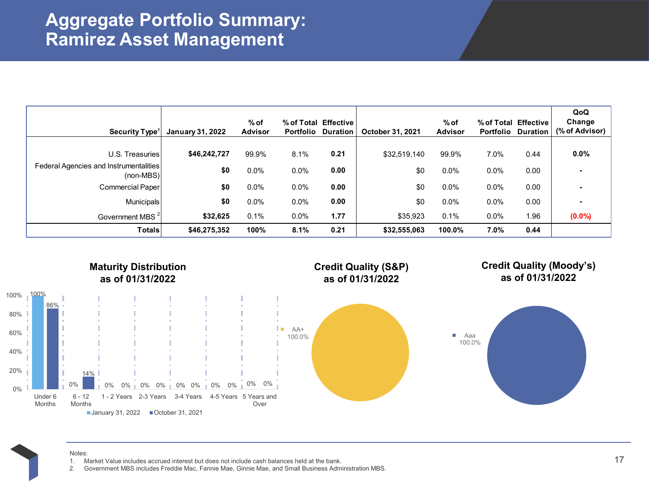## **Aggregate Portfolio Summary: Ramirez Asset Management**

| Security Type <sup>1</sup>                                   | <b>January 31, 2022</b> | $%$ of<br><b>Advisor</b> | <b>Portfolio</b> | % of Total Effective<br><b>Duration</b> | October 31, 2021 | $%$ of<br><b>Advisor</b> | % of Total Effective<br>Portfolio | <b>Duration</b> | QoQ<br>Change<br>(% of Advisor) |
|--------------------------------------------------------------|-------------------------|--------------------------|------------------|-----------------------------------------|------------------|--------------------------|-----------------------------------|-----------------|---------------------------------|
|                                                              |                         |                          |                  |                                         |                  |                          |                                   |                 |                                 |
| U.S. Treasuries                                              | \$46,242,727            | 99.9%                    | 8.1%             | 0.21                                    | \$32,519,140     | 99.9%                    | 7.0%                              | 0.44            | 0.0%                            |
| <b>Federal Agencies and Instrumentalities</b><br>$(non-MBS)$ | \$0                     | $0.0\%$                  | 0.0%             | 0.00                                    | \$0              | $0.0\%$                  | $0.0\%$                           | 0.00            |                                 |
| Commercial Paper                                             | \$0                     | $0.0\%$                  | 0.0%             | 0.00                                    | \$0              | $0.0\%$                  | $0.0\%$                           | 0.00            |                                 |
| <b>Municipals</b>                                            | \$0                     | $0.0\%$                  | 0.0%             | 0.00                                    | \$0              | $0.0\%$                  | $0.0\%$                           | 0.00            |                                 |
| Government MBS <sup>2</sup>                                  | \$32,625                | 0.1%                     | 0.0%             | 1.77                                    | \$35,923         | 0.1%                     | $0.0\%$                           | 1.96            | $(0.0\%)$                       |
| Totals                                                       | \$46,275,352            | 100%                     | 8.1%             | 0.21                                    | \$32,555,063     | 100.0%                   | 7.0%                              | 0.44            |                                 |



Notes:

- 1. Market Value includes accrued interest but does not include cash balances held at the bank.
- 2. Government MBS includes Freddie Mac, Fannie Mae, Ginnie Mae, and Small Business Administration MBS.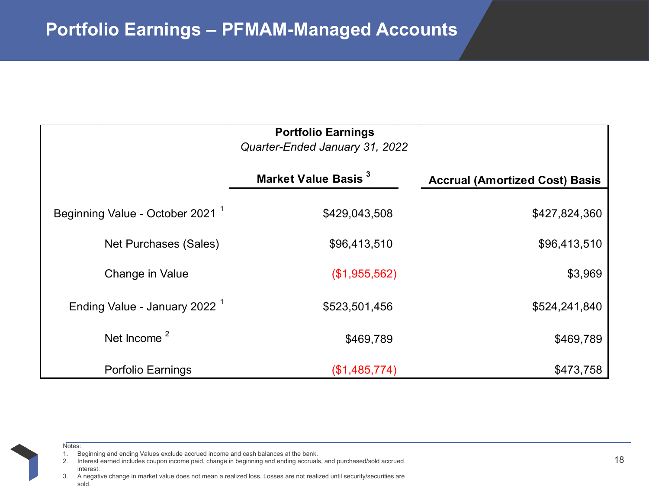|                                             | <b>Portfolio Earnings</b><br>Quarter-Ended January 31, 2022 |                                       |
|---------------------------------------------|-------------------------------------------------------------|---------------------------------------|
|                                             | Market Value Basis <sup>3</sup>                             | <b>Accrual (Amortized Cost) Basis</b> |
| Beginning Value - October 2021 <sup>1</sup> | \$429,043,508                                               | \$427,824,360                         |
| Net Purchases (Sales)                       | \$96,413,510                                                | \$96,413,510                          |
| Change in Value                             | (\$1,955,562)                                               | \$3,969                               |
| Ending Value - January 2022 <sup>1</sup>    | \$523,501,456                                               | \$524,241,840                         |
| Net Income <sup>2</sup>                     | \$469,789                                                   | \$469,789                             |
| <b>Porfolio Earnings</b>                    | (\$1,485,774)                                               | \$473,758                             |

Notes:

<sup>1.</sup> Beginning and ending Values exclude accrued income and cash balances at the bank.

<sup>2.</sup> Interest earned includes coupon income paid, change in beginning and ending accruals, and purchased/sold accrued interest.

3. A negative change in market value does not mean a realized loss. Losses are not realized until security/securities are sold.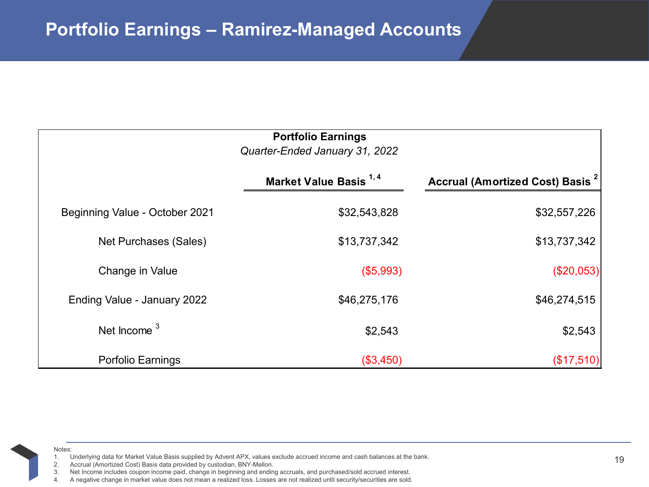|                                | <b>Portfolio Earnings</b><br>Quarter-Ended January 31, 2022 |                                                    |
|--------------------------------|-------------------------------------------------------------|----------------------------------------------------|
|                                | Market Value Basis <sup>1,4</sup>                           | <b>Accrual (Amortized Cost) Basis <sup>2</sup></b> |
| Beginning Value - October 2021 | \$32,543,828                                                | \$32,557,226                                       |
| Net Purchases (Sales)          | \$13,737,342                                                | \$13,737,342                                       |
| Change in Value                | (\$5,993)                                                   | (\$20,053)                                         |
| Ending Value - January 2022    | \$46,275,176                                                | \$46,274,515                                       |
| Net Income <sup>3</sup>        | \$2,543                                                     | \$2,543                                            |
| Porfolio Earnings              | (\$3,450)                                                   | (\$17,510)                                         |

1. Underlying data for Market Value Basis supplied by Advent APX, values exclude accrued income and cash balances at the bank.

2. Accrual (Amortized Cost) Basis data provided by custodian, BNY-Mellon.

Net Income includes coupon income paid, change in beginning and ending accruals, and purchased/sold accrued interest.

4. A negative change in market value does not mean a realized loss. Losses are not realized until security/securities are sold.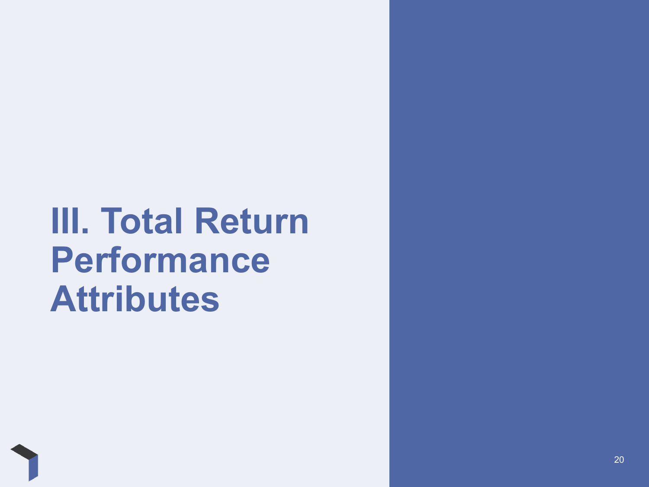# **III. Total Return Performance Attributes**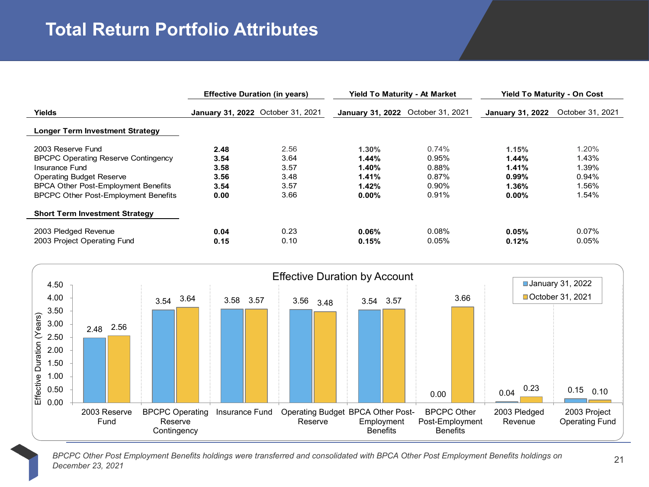# **Total Return Portfolio Attributes**

|                                             | <b>Effective Duration (in years)</b> |      | <b>Yield To Maturity - At Market</b> |       |                  | <b>Yield To Maturity - On Cost</b> |  |
|---------------------------------------------|--------------------------------------|------|--------------------------------------|-------|------------------|------------------------------------|--|
| Yields                                      | January 31, 2022 October 31, 2021    |      | January 31, 2022 October 31, 2021    |       | January 31, 2022 | October 31, 2021                   |  |
| <b>Longer Term Investment Strategy</b>      |                                      |      |                                      |       |                  |                                    |  |
| 2003 Reserve Fund                           | 2.48                                 | 2.56 | 1.30%                                | 0.74% | 1.15%            | 1.20%                              |  |
| <b>BPCPC Operating Reserve Contingency</b>  | 3.54                                 | 3.64 | 1.44%                                | 0.95% | 1.44%            | 1.43%                              |  |
| Insurance Fund                              | 3.58                                 | 3.57 | 1.40%                                | 0.88% | 1.41%            | 1.39%                              |  |
| <b>Operating Budget Reserve</b>             | 3.56                                 | 3.48 | 1.41%                                | 0.87% | 0.99%            | 0.94%                              |  |
| BPCA Other Post-Employment Benefits         | 3.54                                 | 3.57 | 1.42%                                | 0.90% | 1.36%            | 1.56%                              |  |
| <b>BPCPC Other Post-Employment Benefits</b> | 0.00                                 | 3.66 | $0.00\%$                             | 0.91% | 0.00%            | 1.54%                              |  |
| <b>Short Term Investment Strategy</b>       |                                      |      |                                      |       |                  |                                    |  |
| 2003 Pledged Revenue                        | 0.04                                 | 0.23 | 0.06%                                | 0.08% | 0.05%            | 0.07%                              |  |
| 2003 Project Operating Fund                 | 0.15                                 | 0.10 | 0.15%                                | 0.05% | 0.12%            | 0.05%                              |  |



*BPCPC Other Post Employment Benefits holdings were transferred and consolidated with BPCA Other Post Employment Benefits holdings on December 23, 2021*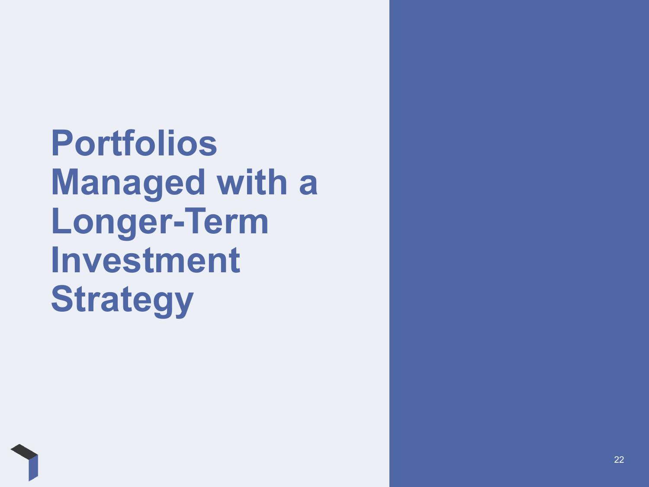**Portfolios Managed with a Longer-Term Investment Strategy**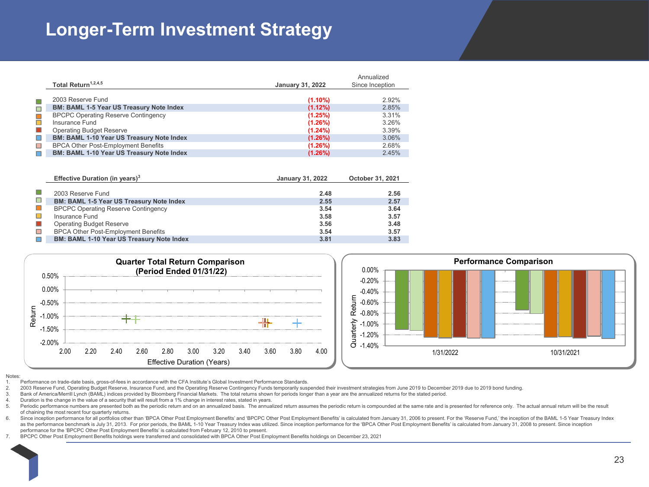# **Longer-Term Investment Strategy**

|                                                  |                         | Annualized      |
|--------------------------------------------------|-------------------------|-----------------|
| Total Return <sup>1,2,4,5</sup>                  | <b>January 31, 2022</b> | Since Inception |
|                                                  |                         |                 |
| 2003 Reserve Fund                                | $(1.10\%)$              | 2.92%           |
| <b>BM: BAML 1-5 Year US Treasury Note Index</b>  | $(1.12\%)$              | 2.85%           |
| <b>BPCPC Operating Reserve Contingency</b>       | (1.25%)                 | 3.31%           |
| Insurance Fund                                   | $(1.26\%)$              | 3.26%           |
| <b>Operating Budget Reserve</b>                  | $(1.24\%)$              | 3.39%           |
| <b>BM: BAML 1-10 Year US Treasury Note Index</b> | $(1.26\%)$              | 3.06%           |
| <b>BPCA Other Post-Employment Benefits</b>       | $(1.26\%)$              | 2.68%           |
| <b>BM: BAML 1-10 Year US Treasury Note Index</b> | $(1.26\%)$              | 2.45%           |

|                             | Effective Duration (in years) $3$                | <b>January 31, 2022</b> | October 31, 2021 |
|-----------------------------|--------------------------------------------------|-------------------------|------------------|
|                             |                                                  |                         |                  |
|                             | 2003 Reserve Fund                                | 2.48                    | 2.56             |
| $\mathcal{L}_{\mathcal{A}}$ | <b>BM: BAML 1-5 Year US Treasury Note Index</b>  | 2.55                    | 2.57             |
| $\mathcal{L}_{\mathcal{A}}$ | <b>BPCPC Operating Reserve Contingency</b>       | 3.54                    | 3.64             |
|                             | Insurance Fund                                   | 3.58                    | 3.57             |
| $\blacksquare$              | <b>Operating Budget Reserve</b>                  | 3.56                    | 3.48             |
| $\Box$                      | <b>BPCA Other Post-Employment Benefits</b>       | 3.54                    | 3.57             |
|                             | <b>BM: BAML 1-10 Year US Treasury Note Index</b> | 3.81                    | 3.83             |



#### Notes:

1. Performance on trade-date basis, gross-of-fees in accordance with the CFA Institute's Global Investment Performance Standards.

- 2. 2003 Reserve Fund, Operating Budget Reserve, Insurance Fund, and the Operating Reserve Contingency Funds temporarily suspended their investment strategies from June 2019 to December 2019 due to 2019 bond funding.
- 3. Bank of America/Merrill Lynch (BAML) indices provided by Bloomberg Financial Markets. The total returns shown for periods longer than a year are the annualized returns for the stated period.
- 4. Duration is the change in the value of a security that will result from a 1% change in interest rates, stated in years.
- 5. Periodic performance numbers are presented both as the periodic return and on an annualized basis. The annualized return assumes the periodic return is compounded at the same rate and is presented for reference only. Th of chaining the most recent four quarterly returns.
- 6. Since inception performance for all portfolios other than 'BPCA Other Post Employment Benefits' and 'BPCPC Other Post Employment Benefits' is calculated from January 31, 2006 to present. For the 'Reserve Fund,' the ince as the performance benchmark is July 31, 2013. For prior periods, the BAML 1-10 Year Treasury Index was utilized. Since inception performance for the 'BPCA Other Post Employment Benefits' is calculated from January 31, 200 performance for the 'BPCPC Other Post Employment Benefits' is calculated from February 12, 2010 to present.
- 7. BPCPC Other Post Employment Benefits holdings were transferred and consolidated with BPCA Other Post Employment Benefits holdings on December 23, 2021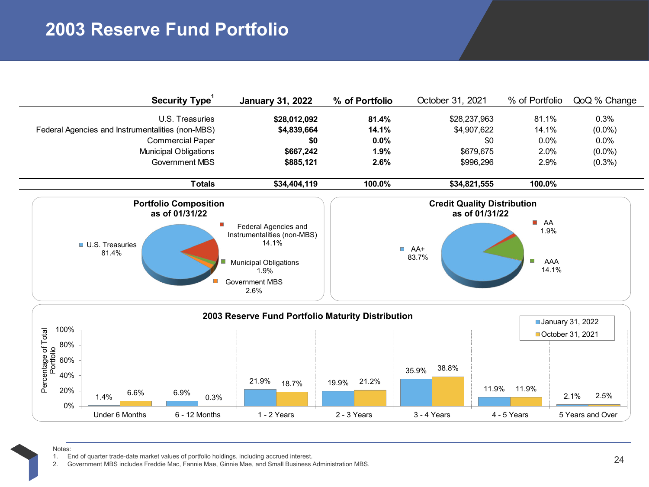# **2003 Reserve Fund Portfolio**

| Security Type <sup>1</sup>                       | <b>January 31, 2022</b>                                      | % of Portfolio | October 31, 2021 | % of Portfolio    | QoQ % Change |
|--------------------------------------------------|--------------------------------------------------------------|----------------|------------------|-------------------|--------------|
| U.S. Treasuries                                  | \$28,012,092                                                 | 81.4%          | \$28,237,963     | 81.1%             | 0.3%         |
| Federal Agencies and Instrumentalities (non-MBS) | \$4,839,664                                                  | 14.1%          | \$4,907,622      | 14.1%             | $(0.0\%)$    |
| <b>Commercial Paper</b>                          | \$0                                                          | $0.0\%$        | \$0              | $0.0\%$           | $0.0\%$      |
| <b>Municipal Obligations</b>                     | \$667,242                                                    | 1.9%           | \$679,675        | 2.0%              | $(0.0\%)$    |
| Government MBS                                   | \$885,121                                                    | $2.6\%$        | \$996,296        | 2.9%              | $(0.3\%)$    |
| Totals                                           | \$34,404,119                                                 | 100.0%         | \$34,821,555     | 100.0%            |              |
| <b>Portfolio Composition</b><br>as of 01/31/22   | <b>Credit Quality Distribution</b><br>as of 01/31/22         |                |                  |                   |              |
| <b>U.S. Treasuries</b><br>81.4%                  | Federal Agencies and<br>Instrumentalities (non-MBS)<br>14.1% |                | $A + B$          | AA<br>1.9%        |              |
|                                                  | <b>Municipal Obligations</b><br>1.9%                         |                | 83.7%            | o<br>AAA<br>14.1% |              |
|                                                  | <b>Government MBS</b><br>2.6%                                |                |                  |                   |              |



Notes:

1. End of quarter trade-date market values of portfolio holdings, including accrued interest. 2. Government MBS includes Freddie Mac, Fannie Mae, Ginnie Mae, and Small Business Administration MBS.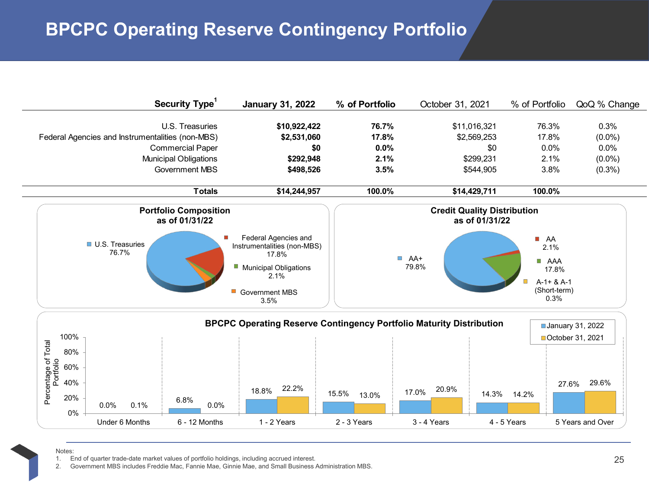# **BPCPC Operating Reserve Contingency Portfolio**

| Security Type <sup>1</sup>                                                                                                                       | <b>January 31, 2022</b>                                                                                                             | % of Portfolio                         | October 31, 2021                                             | % of Portfolio                                                                               | QoQ % Change                                        |
|--------------------------------------------------------------------------------------------------------------------------------------------------|-------------------------------------------------------------------------------------------------------------------------------------|----------------------------------------|--------------------------------------------------------------|----------------------------------------------------------------------------------------------|-----------------------------------------------------|
| U.S. Treasuries<br>Federal Agencies and Instrumentalities (non-MBS)<br><b>Commercial Paper</b><br><b>Municipal Obligations</b><br>Government MBS | \$10,922,422<br>\$2,531,060<br>\$0<br>\$292,948<br>\$498,526                                                                        | 76.7%<br>17.8%<br>0.0%<br>2.1%<br>3.5% | \$11,016,321<br>\$2,569,253<br>\$0<br>\$299,231<br>\$544,905 | 76.3%<br>17.8%<br>0.0%<br>2.1%<br>3.8%                                                       | 0.3%<br>$(0.0\%)$<br>0.0%<br>$(0.0\%)$<br>$(0.3\%)$ |
| <b>Totals</b>                                                                                                                                    | \$14,244,957                                                                                                                        | 100.0%                                 | \$14,429,711                                                 | 100.0%                                                                                       |                                                     |
| <b>Portfolio Composition</b><br>as of 01/31/22                                                                                                   |                                                                                                                                     |                                        | <b>Credit Quality Distribution</b><br>as of 01/31/22         |                                                                                              |                                                     |
| <b>U.S. Treasuries</b><br>76.7%                                                                                                                  | Federal Agencies and<br>Instrumentalities (non-MBS)<br>17.8%<br>Municipal Obligations<br>2.1%<br><b>Government MBS</b><br>o<br>3.5% |                                        | $AA+$<br>79.8%                                               | A<br>2.1%<br>AAA<br>$\overline{\phantom{a}}$<br>17.8%<br>$A-1+ 8A-1$<br>(Short-term)<br>0.3% |                                                     |
| 100%<br>80%                                                                                                                                      | <b>BPCPC Operating Reserve Contingency Portfolio Maturity Distribution</b>                                                          |                                        |                                                              |                                                                                              | <b>January 31, 2022</b><br>■October 31, 2021        |
| Percentage of Total<br>Portfolio<br>60%<br>40%<br>20%<br>6.8%<br>0.0%<br>0.0%<br>0.1%<br>$0\%$                                                   | 22.2%<br>18.8%                                                                                                                      | 15.5%<br>13.0%                         | 20.9%<br>17.0%<br>14.3%                                      | 27.6%<br>14.2%                                                                               | 29.6%                                               |
| Under 6 Months<br>$6 - 12$ Months                                                                                                                | 1 - 2 Years                                                                                                                         | 2 - 3 Years                            | 3 - 4 Years                                                  | 4 - 5 Years                                                                                  | 5 Years and Over                                    |

#### Notes:

1. End of quarter trade-date market values of portfolio holdings, including accrued interest.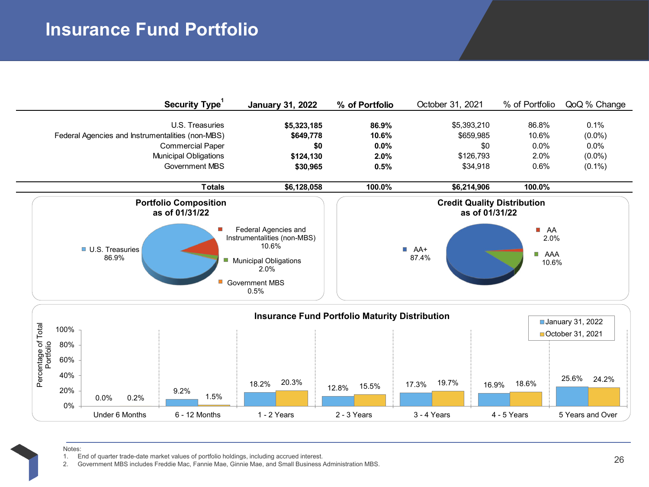# **Insurance Fund Portfolio**

| Security Type <sup>1</sup>                                                                                                                | <b>January 31, 2022</b>                                                                                                               | % of Portfolio                               | October 31, 2021                                         | % of Portfolio                                                                        | QoQ % Change                                           |
|-------------------------------------------------------------------------------------------------------------------------------------------|---------------------------------------------------------------------------------------------------------------------------------------|----------------------------------------------|----------------------------------------------------------|---------------------------------------------------------------------------------------|--------------------------------------------------------|
| U.S. Treasuries<br>Federal Agencies and Instrumentalities (non-MBS)<br><b>Commercial Paper</b><br>Municipal Obligations<br>Government MBS | \$5,323,185<br>\$649,778<br>\$0<br>\$124,130<br>\$30,965                                                                              | 86.9%<br>10.6%<br>$0.0\%$<br>$2.0\%$<br>0.5% | \$5,393,210<br>\$659,985<br>\$0<br>\$126,793<br>\$34,918 | 86.8%<br>10.6%<br>$0.0\%$<br>2.0%<br>0.6%                                             | 0.1%<br>$(0.0\%)$<br>$0.0\%$<br>$(0.0\%)$<br>$(0.1\%)$ |
| <b>Totals</b>                                                                                                                             | \$6,128,058                                                                                                                           | 100.0%                                       | \$6,214,906                                              | 100.0%                                                                                |                                                        |
| <b>Portfolio Composition</b><br>as of 01/31/22                                                                                            |                                                                                                                                       |                                              |                                                          |                                                                                       |                                                        |
| U.S. Treasuries<br>86.9%<br>F.                                                                                                            | Federal Agencies and<br>Instrumentalities (non-MBS)<br>10.6%<br><b>Municipal Obligations</b><br>2.0%<br><b>Government MBS</b><br>0.5% |                                              | $AA+$<br>87.4%                                           | $\mathcal{L}_{\mathcal{A}}$<br>AA<br>2.0%<br>AAA<br>$\overline{\phantom{a}}$<br>10.6% |                                                        |



Notes:

1. End of quarter trade-date market values of portfolio holdings, including accrued interest.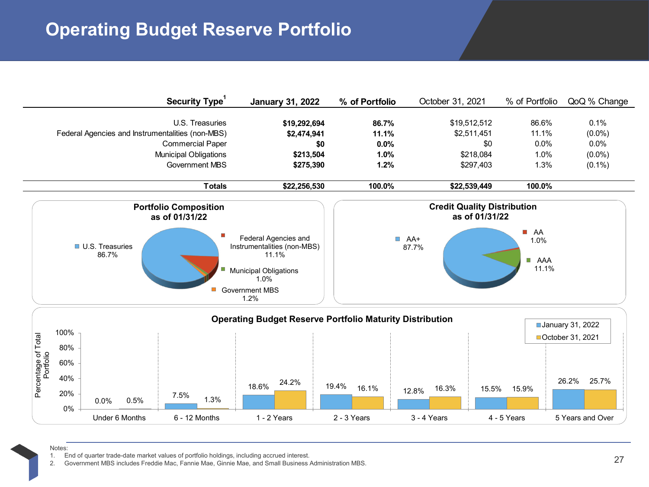# **Operating Budget Reserve Portfolio**

|                                  |                                                                                   | Security Type <sup>1</sup>                                                                          | <b>January 31, 2022</b>                                               | % of Portfolio                            | October 31, 2021                                                     | % of Portfolio                            | QoQ % Change                                           |
|----------------------------------|-----------------------------------------------------------------------------------|-----------------------------------------------------------------------------------------------------|-----------------------------------------------------------------------|-------------------------------------------|----------------------------------------------------------------------|-------------------------------------------|--------------------------------------------------------|
|                                  | Federal Agencies and Instrumentalities (non-MBS)                                  | U.S. Treasuries<br><b>Commercial Paper</b><br><b>Municipal Obligations</b><br><b>Government MBS</b> | \$19,292,694<br>\$2,474,941<br>\$0<br>\$213,504<br>\$275,390          | 86.7%<br>11.1%<br>$0.0\%$<br>1.0%<br>1.2% | \$19,512,512<br>\$2,511,451<br>\$0<br>\$218,084<br>\$297,403         | 86.6%<br>11.1%<br>$0.0\%$<br>1.0%<br>1.3% | 0.1%<br>$(0.0\%)$<br>$0.0\%$<br>$(0.0\%)$<br>$(0.1\%)$ |
|                                  |                                                                                   | <b>Totals</b>                                                                                       | \$22,256,530                                                          | 100.0%                                    | \$22,539,449                                                         | 100.0%                                    |                                                        |
|                                  | <b>Portfolio Composition</b><br>as of 01/31/22<br><b>U.S. Treasuries</b><br>86.7% |                                                                                                     | Federal Agencies and<br>Instrumentalities (non-MBS)<br>11.1%          | $\overline{\phantom{a}}$                  | <b>Credit Quality Distribution</b><br>as of 01/31/22<br>AA+<br>87.7% | AA<br>m.<br>1.0%                          |                                                        |
|                                  |                                                                                   |                                                                                                     | <b>Municipal Obligations</b><br>1.0%<br><b>Government MBS</b><br>1.2% |                                           |                                                                      | <b>B</b> AAA<br>11.1%                     |                                                        |
|                                  |                                                                                   |                                                                                                     | <b>Operating Budget Reserve Portfolio Maturity Distribution</b>       |                                           |                                                                      |                                           | January 31, 2022                                       |
| Percentage of Total<br>Portfolio | 100%<br>80%<br>60%                                                                |                                                                                                     |                                                                       |                                           |                                                                      |                                           | ■ October 31, 2021                                     |
|                                  | 40%<br>20%<br>7.5%<br>0.5%<br>0.0%<br>0%                                          | 1.3%                                                                                                | 24.2%<br>18.6%                                                        | 19.4%<br>16.1%                            | 16.3%<br>15.5%<br>12.8%                                              | 15.9%                                     | 26.2%<br>25.7%                                         |

Under 6 Months 6 - 12 Months 1 - 2 Years 2 - 3 Years 3 - 4 Years 4 - 5 Years 5 Years and Over

Notes:

1. End of quarter trade-date market values of portfolio holdings, including accrued interest.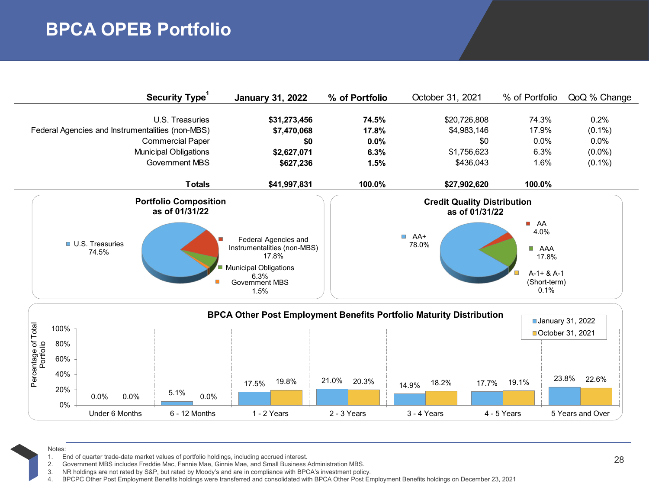# **BPCA OPEB Portfolio**

|                                                  | Security Type <sup>1</sup>                     | <b>January 31, 2022</b>                                                                                                        | % of Portfolio | October 31, 2021                                     | % of Portfolio                                                                                   | QoQ % Change |
|--------------------------------------------------|------------------------------------------------|--------------------------------------------------------------------------------------------------------------------------------|----------------|------------------------------------------------------|--------------------------------------------------------------------------------------------------|--------------|
|                                                  | U.S. Treasuries                                | \$31,273,456                                                                                                                   | 74.5%          | \$20,726,808                                         | 74.3%                                                                                            | $0.2\%$      |
| Federal Agencies and Instrumentalities (non-MBS) |                                                | \$7,470,068                                                                                                                    | 17.8%          | \$4,983,146                                          | 17.9%                                                                                            | $(0.1\%)$    |
|                                                  | <b>Commercial Paper</b>                        | \$0                                                                                                                            | $0.0\%$        | \$0                                                  | $0.0\%$                                                                                          | $0.0\%$      |
|                                                  | <b>Municipal Obligations</b>                   | \$2,627,071                                                                                                                    | 6.3%           | \$1,756,623                                          | 6.3%                                                                                             | $(0.0\%)$    |
|                                                  | Government MBS                                 | \$627,236                                                                                                                      | 1.5%           | \$436,043                                            | 1.6%                                                                                             | $(0.1\%)$    |
|                                                  | Totals                                         | \$41,997,831                                                                                                                   | 100.0%         | \$27,902,620                                         | 100.0%                                                                                           |              |
|                                                  | <b>Portfolio Composition</b><br>as of 01/31/22 |                                                                                                                                |                | <b>Credit Quality Distribution</b><br>as of 01/31/22 |                                                                                                  |              |
| <b>U.S. Treasuries</b><br>74.5%                  |                                                | Federal Agencies and<br>Instrumentalities (non-MBS)<br>17.8%<br>Municipal Obligations<br>6.3%<br><b>Government MBS</b><br>1.5% |                | $A + B$<br>78.0%                                     | AA<br>$\mathcal{L}_{\mathcal{A}}$<br>4.0%<br>AAA<br>17.8%<br>$A-1+ 8A-1$<br>(Short-term)<br>0.1% |              |



#### Notes:

1. End of quarter trade-date market values of portfolio holdings, including accrued interest.

2. Government MBS includes Freddie Mac, Fannie Mae, Ginnie Mae, and Small Business Administration MBS.

3. NR holdings are not rated by S&P, but rated by Moody's and are in compliance with BPCA's investment policy.

4. BPCPC Other Post Employment Benefits holdings were transferred and consolidated with BPCA Other Post Employment Benefits holdings on December 23, 2021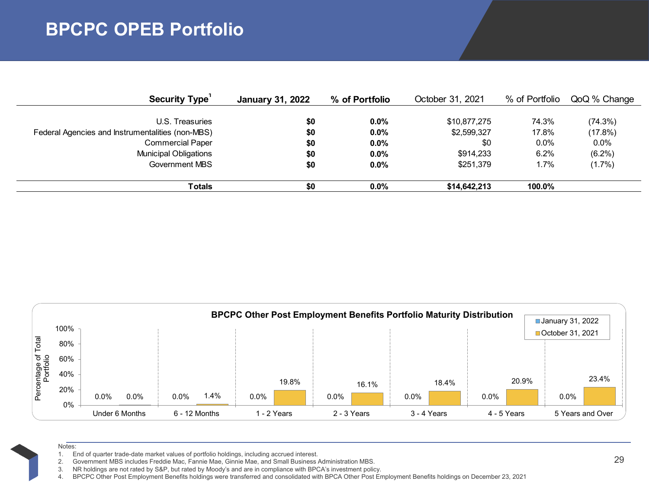# **BPCPC OPEB Portfolio**

| Security Type'                                   | <b>January 31, 2022</b> | % of Portfolio | October 31, 2021 | % of Portfolio | QoQ % Change |
|--------------------------------------------------|-------------------------|----------------|------------------|----------------|--------------|
|                                                  |                         |                |                  |                |              |
| U.S. Treasuries                                  | \$0                     | $0.0\%$        | \$10,877,275     | 74.3%          | (74.3%)      |
| Federal Agencies and Instrumentalities (non-MBS) | \$0                     | $0.0\%$        | \$2,599,327      | 17.8%          | (17.8%)      |
| <b>Commercial Paper</b>                          | \$0                     | $0.0\%$        | \$0              | $0.0\%$        | $0.0\%$      |
| <b>Municipal Obligations</b>                     | \$0                     | $0.0\%$        | \$914.233        | 6.2%           | $(6.2\%)$    |
| Government MBS                                   | \$0                     | $0.0\%$        | \$251.379        | 1.7%           | $(1.7\%)$    |
|                                                  |                         |                |                  |                |              |
| Totals                                           | \$0                     | $0.0\%$        | \$14,642,213     | 100.0%         |              |



- Notes:
- 1. End of quarter trade-date market values of portfolio holdings, including accrued interest.
- 2. Government MBS includes Freddie Mac, Fannie Mae, Ginnie Mae, and Small Business Administration MBS.
- 3. NR holdings are not rated by S&P, but rated by Moody's and are in compliance with BPCA's investment policy.

4. BPCPC Other Post Employment Benefits holdings were transferred and consolidated with BPCA Other Post Employment Benefits holdings on December 23, 2021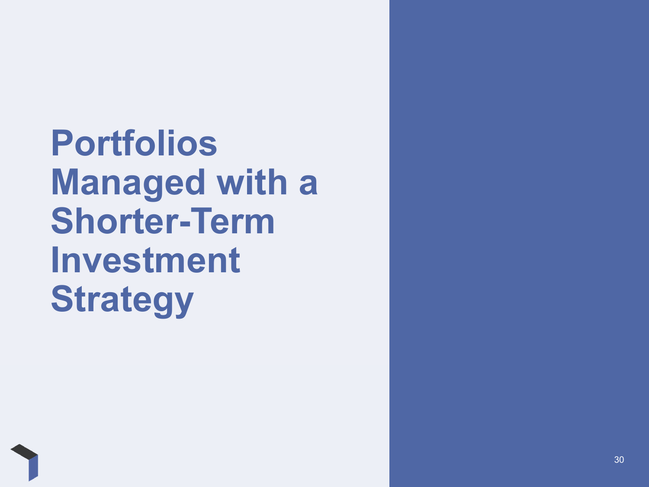**Portfolios Managed with a Shorter-Term Investment Strategy**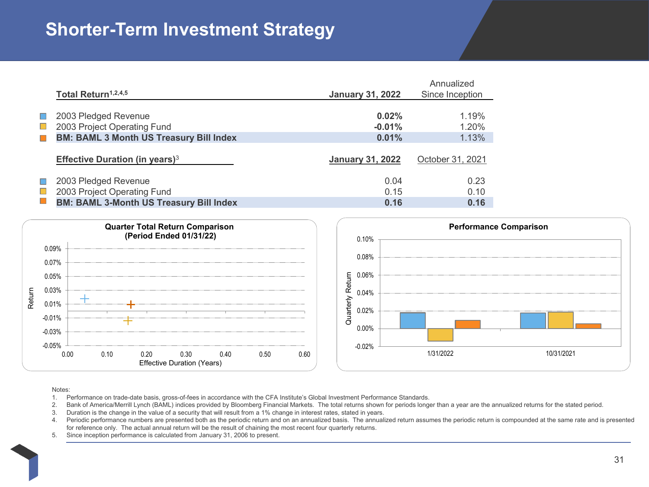# **Shorter-Term Investment Strategy**

|                             |                                                |                         | Annualized       |
|-----------------------------|------------------------------------------------|-------------------------|------------------|
|                             | Total Return <sup>1,2,4,5</sup>                | <b>January 31, 2022</b> | Since Inception  |
|                             |                                                |                         |                  |
| o d                         | 2003 Pledged Revenue                           | 0.02%                   | 1.19%            |
| $\mathcal{L}_{\mathcal{A}}$ | 2003 Project Operating Fund                    | $-0.01%$                | 1.20%            |
| $\Box$                      | <b>BM: BAML 3 Month US Treasury Bill Index</b> | 0.01%                   | 1.13%            |
|                             |                                                |                         |                  |
|                             | Effective Duration (in years) $3$              | <b>January 31, 2022</b> | October 31, 2021 |
|                             |                                                |                         |                  |
| $\Box$                      | 2003 Pledged Revenue                           | 0.04                    | 0.23             |
| $\mathcal{L}_{\mathcal{A}}$ | 2003 Project Operating Fund                    | 0.15                    | 0.10             |
| $\Box$                      | <b>BM: BAML 3-Month US Treasury Bill Index</b> | 0.16                    | 0.16             |
|                             |                                                |                         |                  |





#### Notes:

- 1. Performance on trade-date basis, gross-of-fees in accordance with the CFA Institute's Global Investment Performance Standards.
- 2. Bank of America/Merrill Lynch (BAML) indices provided by Bloomberg Financial Markets. The total returns shown for periods longer than a year are the annualized returns for the stated period.
- 3. Duration is the change in the value of a security that will result from a 1% change in interest rates, stated in years.
- Periodic performance numbers are presented both as the periodic return and on an annualized basis. The annualized return assumes the periodic return is compounded at the same rate and is presented for reference only. The actual annual return will be the result of chaining the most recent four quarterly returns.
- 5. Since inception performance is calculated from January 31, 2006 to present.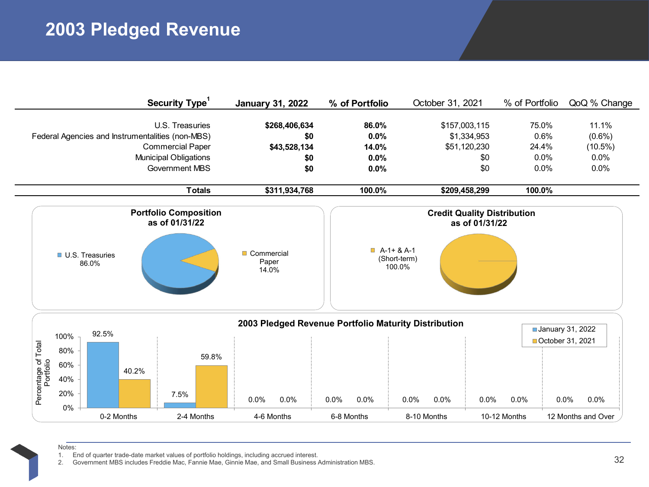# **2003 Pledged Revenue**

|                                                |                                                  |            | <b>Security Type</b>                                                                         | <b>January 31, 2022</b>                              | % of Portfolio                                       | October 31, 2021                             | % of Portfolio                                       | QoQ % Change                                     |
|------------------------------------------------|--------------------------------------------------|------------|----------------------------------------------------------------------------------------------|------------------------------------------------------|------------------------------------------------------|----------------------------------------------|------------------------------------------------------|--------------------------------------------------|
|                                                | Federal Agencies and Instrumentalities (non-MBS) |            | U.S. Treasuries<br><b>Commercial Paper</b><br><b>Municipal Obligations</b><br>Government MBS | \$268,406,634<br>\$0<br>\$43,528,134<br>\$0<br>\$0   | 86.0%<br>0.0%<br>14.0%<br>0.0%<br>0.0%               | \$157,003,115<br>\$1,334,953<br>\$51,120,230 | 75.0%<br>0.6%<br>24.4%<br>0.0%<br>\$0<br>\$0<br>0.0% | 11.1%<br>$(0.6\%)$<br>$(10.5\%)$<br>0.0%<br>0.0% |
|                                                |                                                  |            | <b>Totals</b>                                                                                | \$311,934,768                                        | 100.0%                                               | \$209,458,299                                | 100.0%                                               |                                                  |
| <b>Portfolio Composition</b><br>as of 01/31/22 |                                                  |            |                                                                                              |                                                      | <b>Credit Quality Distribution</b><br>as of 01/31/22 |                                              |                                                      |                                                  |
|                                                | <b>U.S. Treasuries</b><br>86.0%                  |            |                                                                                              | Commercial<br>Paper<br>14.0%                         |                                                      | $A-1+ 8A-1$<br>(Short-term)<br>100.0%        |                                                      |                                                  |
|                                                | 92.5%<br>100%                                    |            |                                                                                              | 2003 Pledged Revenue Portfolio Maturity Distribution |                                                      |                                              |                                                      | January 31, 2022<br>October 31, 2021             |
| Percentage of Total<br>Portfolio               | 80%<br>60%<br>40%<br>20%<br>0%                   | 40.2%      | 59.8%<br>7.5%                                                                                | 0.0%<br>0.0%                                         | 0.0%<br>0.0%                                         | 0.0%<br>0.0%                                 | $0.0\%$<br>0.0%                                      | 0.0%<br>0.0%                                     |
|                                                |                                                  | 0-2 Months | 2-4 Months                                                                                   | 4-6 Months                                           | 6-8 Months                                           | 8-10 Months                                  | 10-12 Months                                         | 12 Months and Over                               |

Notes:

1. End of quarter trade-date market values of portfolio holdings, including accrued interest.<br>2. Government MBS includes Freddie Mac, Fannie Mae, Ginnie Mae, and Small Business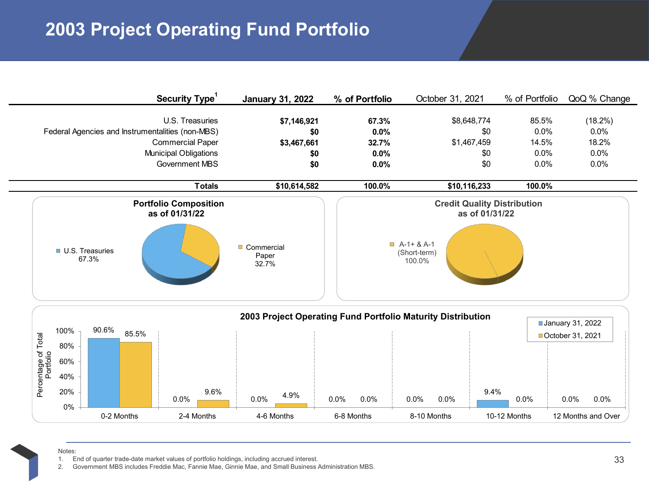# **2003 Project Operating Fund Portfolio**

|                                  | Security Type <sup>1</sup>                                                                                                                       | <b>January 31, 2022</b>                         | % of Portfolio                         | October 31, 2021                                                                              | % of Portfolio                         | QoQ % Change                                |
|----------------------------------|--------------------------------------------------------------------------------------------------------------------------------------------------|-------------------------------------------------|----------------------------------------|-----------------------------------------------------------------------------------------------|----------------------------------------|---------------------------------------------|
|                                  | U.S. Treasuries<br>Federal Agencies and Instrumentalities (non-MBS)<br><b>Commercial Paper</b><br>Municipal Obligations<br><b>Government MBS</b> | \$7,146,921<br>\$0<br>\$3,467,661<br>\$0<br>\$0 | 67.3%<br>0.0%<br>32.7%<br>0.0%<br>0.0% | \$8,648,774<br>\$0<br>\$1,467,459<br>\$0<br>\$0                                               | 85.5%<br>0.0%<br>14.5%<br>0.0%<br>0.0% | (18.2%)<br>0.0%<br>18.2%<br>$0.0\%$<br>0.0% |
|                                  | <b>Totals</b>                                                                                                                                    | \$10,614,582                                    | 100.0%                                 | \$10,116,233                                                                                  | 100.0%                                 |                                             |
|                                  | <b>Portfolio Composition</b><br>as of 01/31/22<br><b>U.S. Treasuries</b><br>67.3%                                                                | Commercial<br>Paper<br>32.7%                    |                                        | <b>Credit Quality Distribution</b><br>as of 01/31/22<br>$A-1+ 8A-1$<br>(Short-term)<br>100.0% |                                        |                                             |
| Percentage of Total<br>Portfolio | 90.6%<br>100%<br>85.5%<br>80%<br>60%<br>40%<br>20%<br>9.6%                                                                                       | 4.9%                                            |                                        | 2003 Project Operating Fund Portfolio Maturity Distribution<br>9.4%                           |                                        | January 31, 2022<br>■ October 31, 2021      |

|                   |       |  | 0-2 Months |         | 2-4 Months |      |         | 4-6 Months |         | 6-8 Months | 8-10 Months |      |         | 10-12 Months |      | 12 Months and Over |
|-------------------|-------|--|------------|---------|------------|------|---------|------------|---------|------------|-------------|------|---------|--------------|------|--------------------|
|                   | $0\%$ |  |            |         |            |      |         |            |         |            |             |      |         |              |      |                    |
| ō<br>൨            | 20%   |  |            | $0.0\%$ |            | 9.6% | $0.0\%$ | 4.9%       | $0.0\%$ | $0.0\%$    | 0.0%        | 0.0% | $9.4\%$ | 0.0%         | 0.0% | 0.0%               |
| entage<br>Portfol | 40%   |  |            |         |            |      |         |            |         |            |             |      |         |              |      |                    |
| 흐 으               | 60%   |  |            |         |            |      |         |            |         |            |             |      |         |              |      |                    |
|                   |       |  |            |         |            |      |         |            |         |            |             |      |         |              |      |                    |

Notes:

1. End of quarter trade-date market values of portfolio holdings, including accrued interest.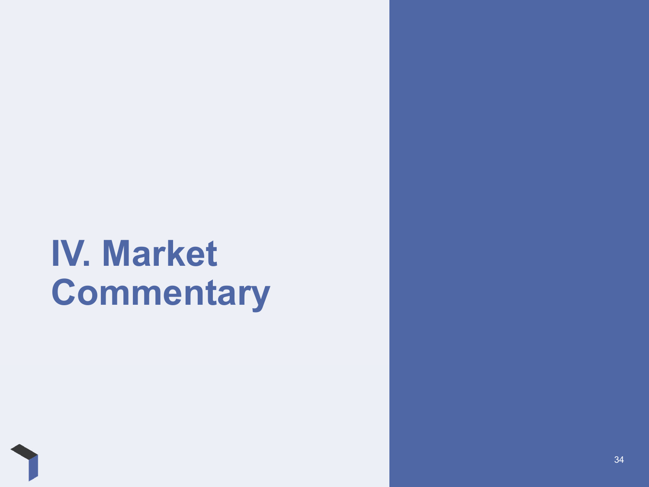# **IV. Market Commentary**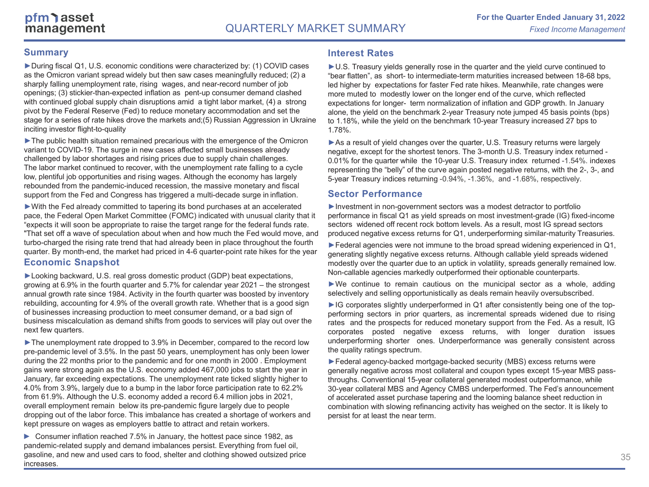### **Summary**

►During fiscal Q1, U.S. economic conditions were characterized by: (1) COVID cases as the Omicron variant spread widely but then saw cases meaningfully reduced; (2) a sharply falling unemployment rate, rising wages, and near-record number of job openings; (3) stickier-than-expected inflation as pent-up consumer demand clashed with continued global supply chain disruptions amid a tight labor market, (4) a strong pivot by the Federal Reserve (Fed) to reduce monetary accommodation and set the stage for a series of rate hikes drove the markets and;(5) Russian Aggression in Ukraine inciting investor flight-to-quality

►The public health situation remained precarious with the emergence of the Omicron variant to COVID-19. The surge in new cases affected small businesses already challenged by labor shortages and rising prices due to supply chain challenges. The labor market continued to recover, with the unemployment rate falling to a cycle low, plentiful job opportunities and rising wages. Although the economy has largely rebounded from the pandemic-induced recession, the massive monetary and fiscal support from the Fed and Congress has triggered a multi-decade surge in inflation.

►With the Fed already committed to tapering its bond purchases at an accelerated pace, the Federal Open Market Committee (FOMC) indicated with unusual clarity that it "expects it will soon be appropriate to raise the target range for the federal funds rate. "That set off a wave of speculation about when and how much the Fed would move, and turbo-charged the rising rate trend that had already been in place throughout the fourth quarter. By month-end, the market had priced in 4-6 quarter-point rate hikes for the year **Economic Snapshot**

►Looking backward, U.S. real gross domestic product (GDP) beat expectations, growing at 6.9% in the fourth quarter and 5.7% for calendar year 2021 – the strongest annual growth rate since 1984. Activity in the fourth quarter was boosted by inventory rebuilding, accounting for 4.9% of the overall growth rate. Whether that is a good sign of businesses increasing production to meet consumer demand, or a bad sign of business miscalculation as demand shifts from goods to services will play out over the next few quarters.

►The unemployment rate dropped to 3.9% in December, compared to the record low pre-pandemic level of 3.5%. In the past 50 years, unemployment has only been lower during the 22 months prior to the pandemic and for one month in 2000 . Employment gains were strong again as the U.S. economy added 467,000 jobs to start the year in January, far exceeding expectations. The unemployment rate ticked slightly higher to 4.0% from 3.9%, largely due to a bump in the labor force participation rate to 62.2% from 61.9%. Although the U.S. economy added a record 6.4 million jobs in 2021, overall employment remain below its pre-pandemic figure largely due to people dropping out of the labor force. This imbalance has created a shortage of workers and kept pressure on wages as employers battle to attract and retain workers.

► Consumer inflation reached 7.5% in January, the hottest pace since 1982, as pandemic-related supply and demand imbalances persist. Everything from fuel oil, gasoline, and new and used cars to food, shelter and clothing showed outsized price increases.

### **Interest Rates**

►U.S. Treasury yields generally rose in the quarter and the yield curve continued to "bear flatten", as short- to intermediate-term maturities increased between 18-68 bps, led higher by expectations for faster Fed rate hikes. Meanwhile, rate changes were more muted to modestly lower on the longer end of the curve, which reflected expectations for longer- term normalization of inflation and GDP growth. In January alone, the yield on the benchmark 2-year Treasury note jumped 45 basis points (bps) to 1.18%, while the yield on the benchmark 10-year Treasury increased 27 bps to 1.78%.

►As a result of yield changes over the quarter, U.S. Treasury returns were largely negative, except for the shortest tenors. The 3-month U.S. Treasury index returned - 0.01% for the quarter while the 10-year U.S. Treasury index returned -1.54%. indexes representing the "belly" of the curve again posted negative returns, with the 2-, 3-, and 5-year Treasury indices returning -0.94%, -1.36%, and -1.68%, respectively.

### **Sector Performance**

►Investment in non-government sectors was a modest detractor to portfolio performance in fiscal Q1 as yield spreads on most investment-grade (IG) fixed-income sectors widened off recent rock bottom levels. As a result, most IG spread sectors produced negative excess returns for Q1, underperforming similar-maturity Treasuries.

►Federal agencies were not immune to the broad spread widening experienced in Q1, generating slightly negative excess returns. Although callable yield spreads widened modestly over the quarter due to an uptick in volatility, spreads generally remained low. Non-callable agencies markedly outperformed their optionable counterparts.

►We continue to remain cautious on the municipal sector as <sup>a</sup> whole, adding selectively and selling opportunistically as deals remain heavily oversubscribed.

►IG corporates slightly underperformed in Q1 after consistently being one of the topperforming sectors in prior quarters, as incremental spreads widened due to rising rates and the prospects for reduced monetary support from the Fed. As <sup>a</sup> result, IG corporates posted negative excess returns, with longer duration issues underperforming shorter ones. Underperformance was generally consistent across the quality ratings spectrum.

►Federal agency-backed mortgage-backed security (MBS) excess returns were generally negative across most collateral and coupon types except 15-year MBS passthroughs. Conventional 15-year collateral generated modest outperformance, while 30-year collateral MBS and Agency CMBS underperformed. The Fed's announcement of accelerated asset purchase tapering and the looming balance sheet reduction in combination with slowing refinancing activity has weighed on the sector. It is likely to persist for at least the near term.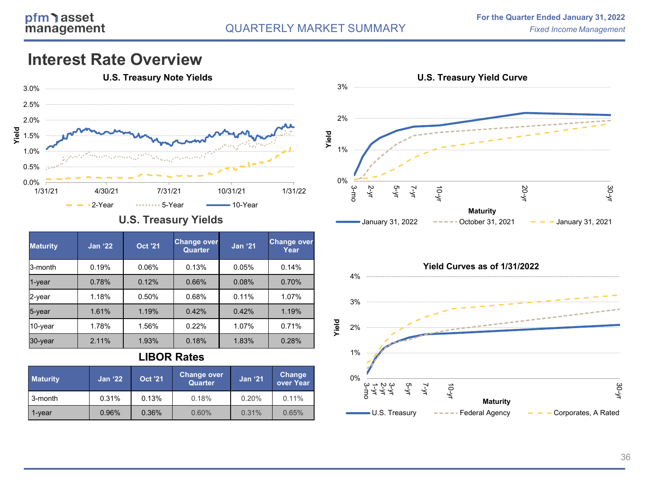### **Interest Rate Overview**



### **U.S. Treasury Yields**

| <b>Maturity</b> | <b>Jan '22</b> | <b>Oct '21</b> | <b>Change over</b><br><b>Quarter</b> | <b>Jan '21</b> | <b>Change over</b><br>Year |
|-----------------|----------------|----------------|--------------------------------------|----------------|----------------------------|
| 3-month         | 0.19%          | 0.06%          | 0.13%                                | 0.05%          | 0.14%                      |
| 1-year          | 0.78%          | 0.12%          | 0.66%                                | 0.08%          | 0.70%                      |
| 2-year          | 1.18%          | 0.50%          | 0.68%                                | 0.11%          | 1.07%                      |
| 5-year          | 1.61%          | 1.19%          | 0.42%                                | 0.42%          | 1.19%                      |
| 10-year         | 1.78%          | 1.56%          | 0.22%                                | 1.07%          | 0.71%                      |
| $30$ -year      | 2.11%          | 1.93%          | 0.18%                                | 1.83%          | 0.28%                      |

### **LIBOR Rates**

| <b>Maturity</b> | <b>Jan '22</b> | <b>Oct '21</b> | Change over<br><b>Quarter</b> | <b>Jan '21</b> | <b>Change</b><br>over Year |
|-----------------|----------------|----------------|-------------------------------|----------------|----------------------------|
| 3-month         | 0.31%          | 0.13%          | 0.18%                         | 0.20%          | 0.11%                      |
| 1-vear          | 0.96%          | 0.36%          | 0.60%                         | 0.31%          | 0.65%                      |



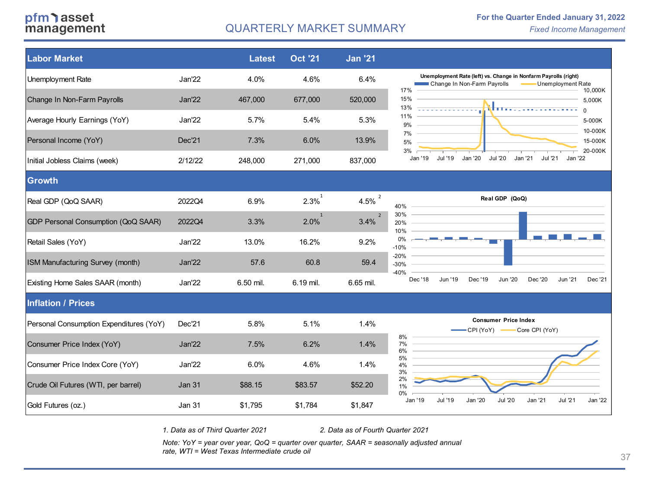### pfm asset management

### QUARTERLY MARKET SUMMARY *Fixed Income Management*



*1. Data as of Third Quarter 2021 2. Data as of Fourth Quarter 2021*

*Note: YoY = year over year, QoQ = quarter over quarter, SAAR = seasonally adjusted annual rate, WTI = West Texas Intermediate crude oil* **37**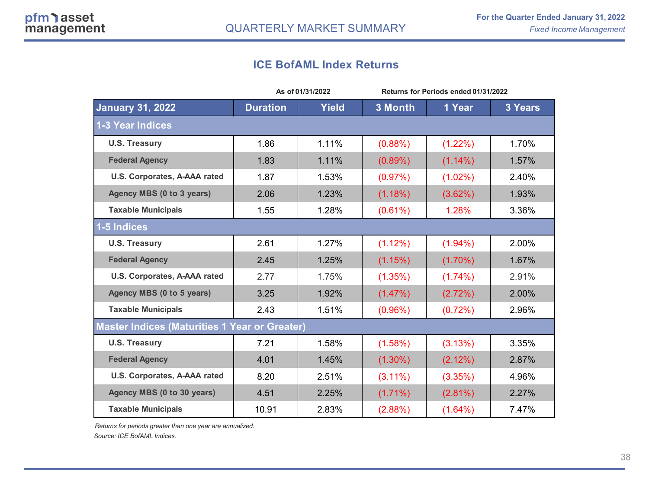### **ICE BofAML Index Returns**

|                                                      |                 | As of 01/31/2022 | Returns for Periods ended 01/31/2022 |            |         |  |
|------------------------------------------------------|-----------------|------------------|--------------------------------------|------------|---------|--|
| <b>January 31, 2022</b>                              | <b>Duration</b> | <b>Yield</b>     | 3 Month                              | 1 Year     | 3 Years |  |
| 1-3 Year Indices                                     |                 |                  |                                      |            |         |  |
| <b>U.S. Treasury</b>                                 | 1.86            | 1.11%            | (0.88%)                              | $(1.22\%)$ | 1.70%   |  |
| <b>Federal Agency</b>                                | 1.83            | 1.11%            | (0.89%)                              | $(1.14\%)$ | 1.57%   |  |
| U.S. Corporates, A-AAA rated                         | 1.87            | 1.53%            | (0.97%)                              | $(1.02\%)$ | 2.40%   |  |
| Agency MBS (0 to 3 years)                            | 2.06            | 1.23%            | (1.18%)                              | (3.62%)    | 1.93%   |  |
| <b>Taxable Municipals</b>                            | 1.55            | 1.28%            | $(0.61\%)$                           | 1.28%      | 3.36%   |  |
| 1-5 Indices                                          |                 |                  |                                      |            |         |  |
| <b>U.S. Treasury</b>                                 | 2.61            | 1.27%            | $(1.12\%)$                           | $(1.94\%)$ | 2.00%   |  |
| <b>Federal Agency</b>                                | 2.45            | 1.25%            | (1.15%)                              | $(1.70\%)$ | 1.67%   |  |
| U.S. Corporates, A-AAA rated                         | 2.77            | 1.75%            | (1.35%)                              | $(1.74\%)$ | 2.91%   |  |
| Agency MBS (0 to 5 years)                            | 3.25            | 1.92%            | (1.47%)                              | (2.72%)    | 2.00%   |  |
| <b>Taxable Municipals</b>                            | 2.43            | 1.51%            | (0.96%)                              | (0.72%)    | 2.96%   |  |
| <b>Master Indices (Maturities 1 Year or Greater)</b> |                 |                  |                                      |            |         |  |
| <b>U.S. Treasury</b>                                 | 7.21            | 1.58%            | (1.58%)                              | (3.13%)    | 3.35%   |  |
| <b>Federal Agency</b>                                | 4.01            | 1.45%            | $(1.30\%)$                           | (2.12%)    | 2.87%   |  |
| U.S. Corporates, A-AAA rated                         | 8.20            | 2.51%            | $(3.11\%)$                           | (3.35%)    | 4.96%   |  |
| Agency MBS (0 to 30 years)                           | 4.51            | 2.25%            | $(1.71\%)$                           | $(2.81\%)$ | 2.27%   |  |
| <b>Taxable Municipals</b>                            | 10.91           | 2.83%            | (2.88%)                              | $(1.64\%)$ | 7.47%   |  |

*Returns for periods greater than one year are annualized.* 

*Source: ICE BofAML Indices.*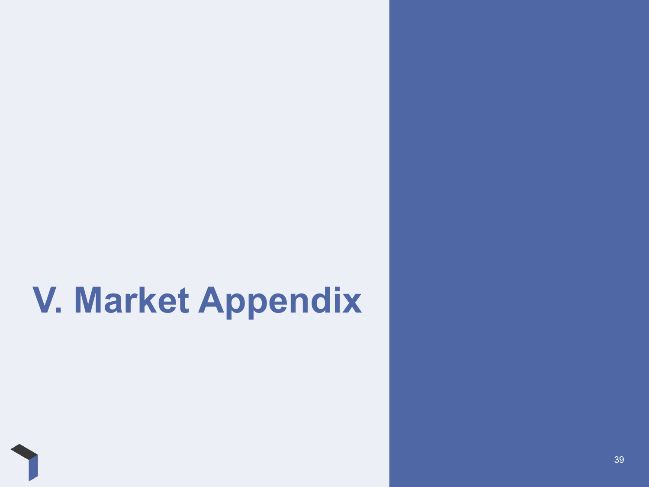# **V. Market Appendix**

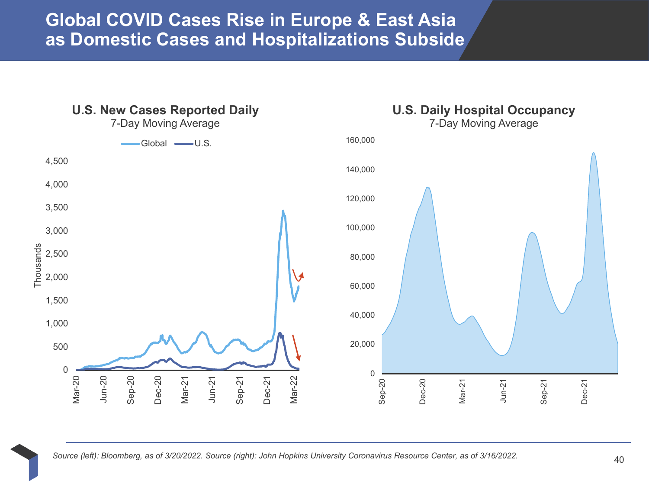**Global COVID Cases Rise in Europe & East Asia as Domestic Cases and Hospitalizations Subside**

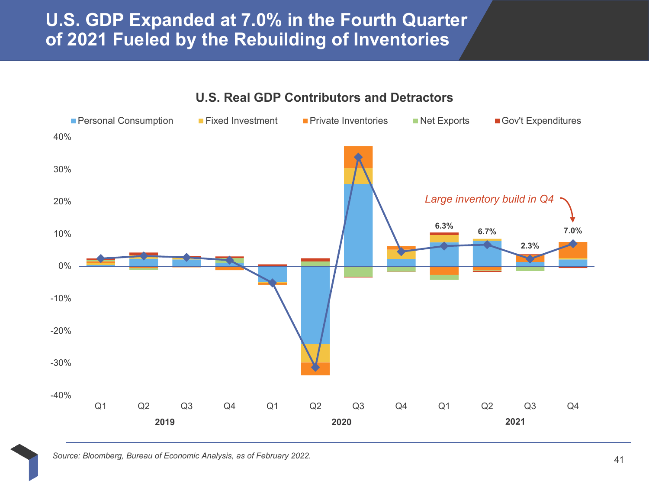## **U.S. GDP Expanded at 7.0% in the Fourth Quarter of 2021 Fueled by the Rebuilding of Inventories**



**U.S. Real GDP Contributors and Detractors**

*Source: Bloomberg, Bureau of Economic Analysis, as of February 2022.*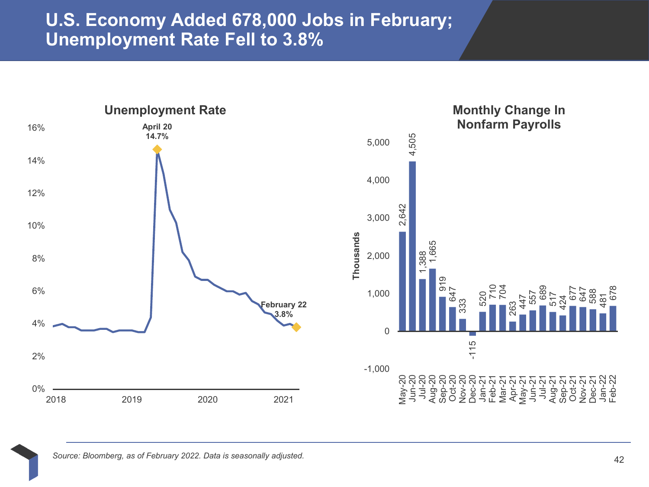### **U.S. Economy Added 678,000 Jobs in February; Unemployment Rate Fell to 3.8%**

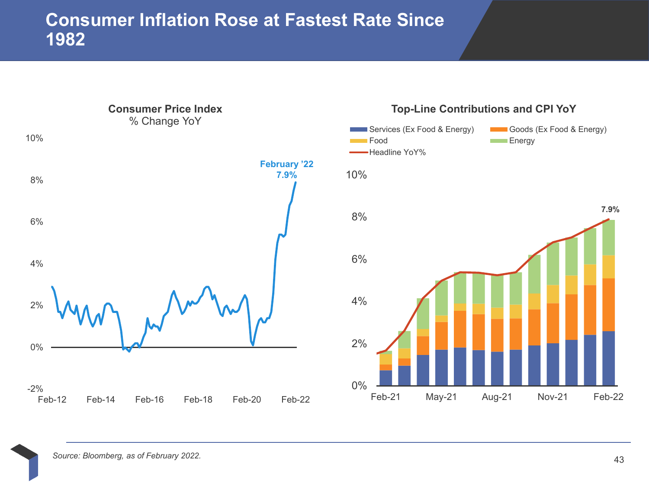## **Consumer Inflation Rose at Fastest Rate Since 1982**

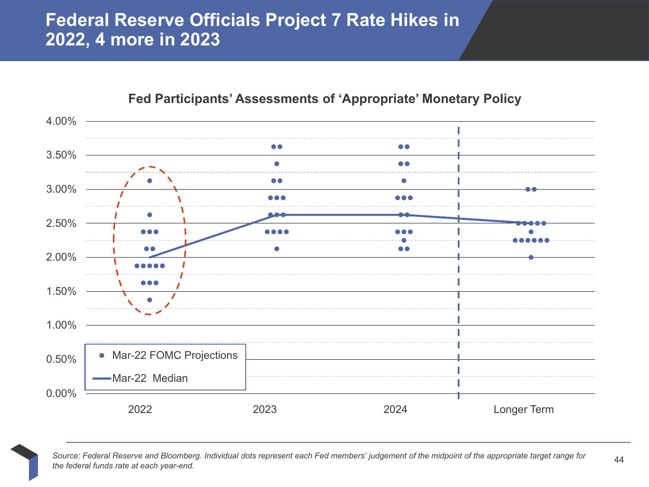## **Federal Reserve Officials Project 7 Rate Hikes in 2022, 4 more in 2023**



**Fed Participants' Assessments of 'Appropriate' Monetary Policy**



*Source: Federal Reserve and Bloomberg. Individual dots represent each Fed members' judgement of the midpoint of the appropriate target range for the federal funds rate at each year-end.*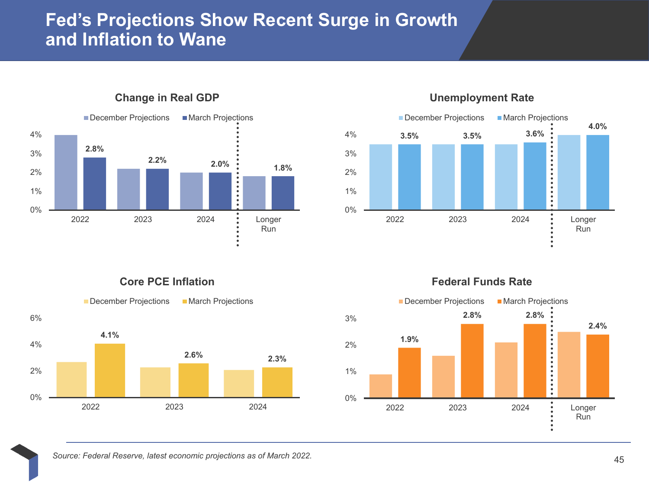## **Fed's Projections Show Recent Surge in Growth and Inflation to Wane**



### **Change in Real GDP**



### **Unemployment Rate**

**Core PCE Inflation**



### **Federal Funds Rate**

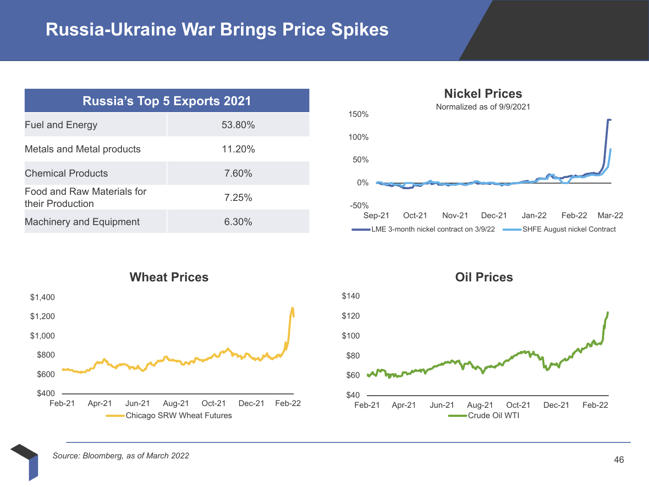# **Russia-Ukraine War Brings Price Spikes**

| <b>Russia's Top 5 Exports 2021</b>                    |        |  |  |  |  |
|-------------------------------------------------------|--------|--|--|--|--|
| <b>Fuel and Energy</b>                                | 53.80% |  |  |  |  |
| Metals and Metal products                             | 11.20% |  |  |  |  |
| <b>Chemical Products</b>                              | 7.60%  |  |  |  |  |
| <b>Food and Raw Materials for</b><br>their Production | 7.25%  |  |  |  |  |
| <b>Machinery and Equipment</b>                        | 6.30%  |  |  |  |  |





**Oil Prices**



*Source: Bloomberg, as of March 2022*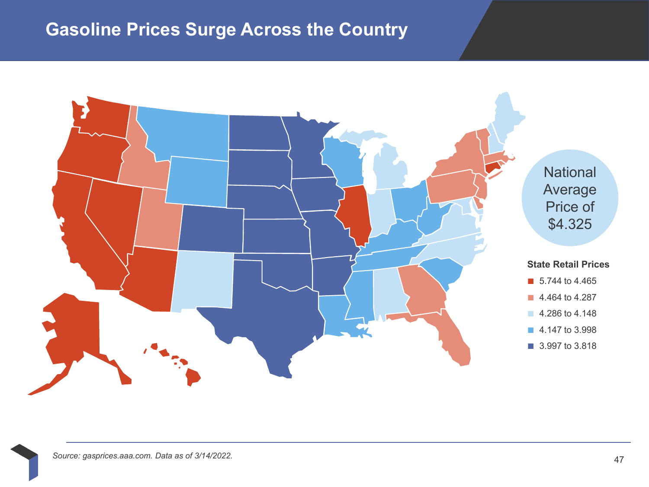# **Gasoline Prices Surge Across the Country**

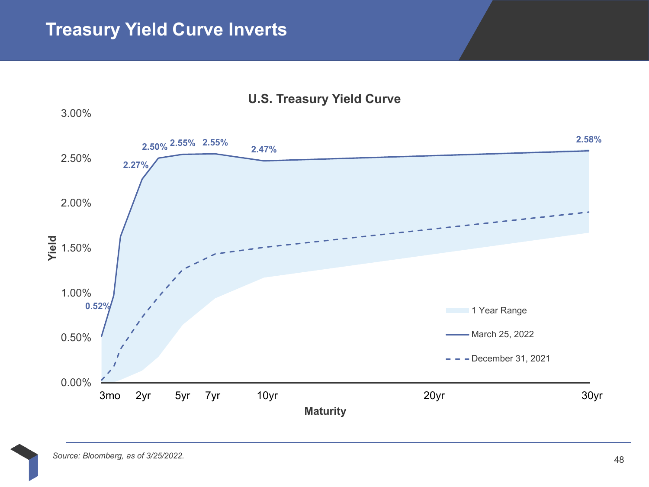

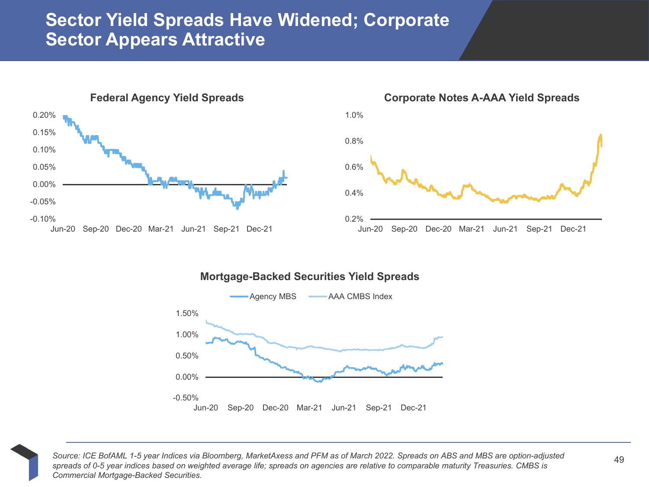## **Sector Yield Spreads Have Widened; Corporate Sector Appears Attractive**



### **Corporate Notes A-AAA Yield Spreads**



### **Mortgage-Backed Securities Yield Spreads**



*Source: ICE BofAML 1-5 year Indices via Bloomberg, MarketAxess and PFM as of March 2022. Spreads on ABS and MBS are option-adjusted spreads of 0-5 year indices based on weighted average life; spreads on agencies are relative to comparable maturity Treasuries. CMBS is Commercial Mortgage-Backed Securities.*